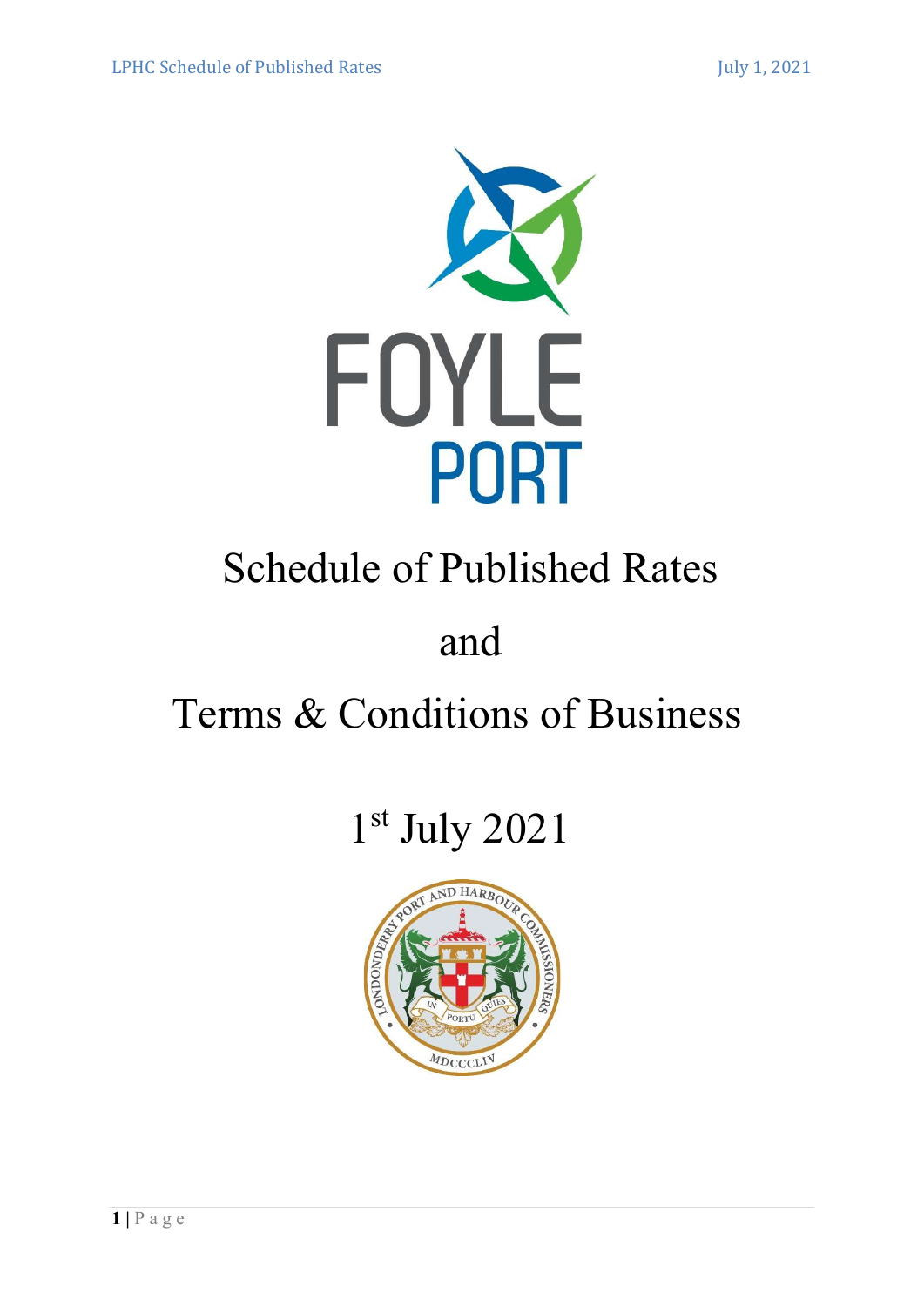

# Schedule of Published Rates

# and

# Terms & Conditions of Business

# 1 st July 2021

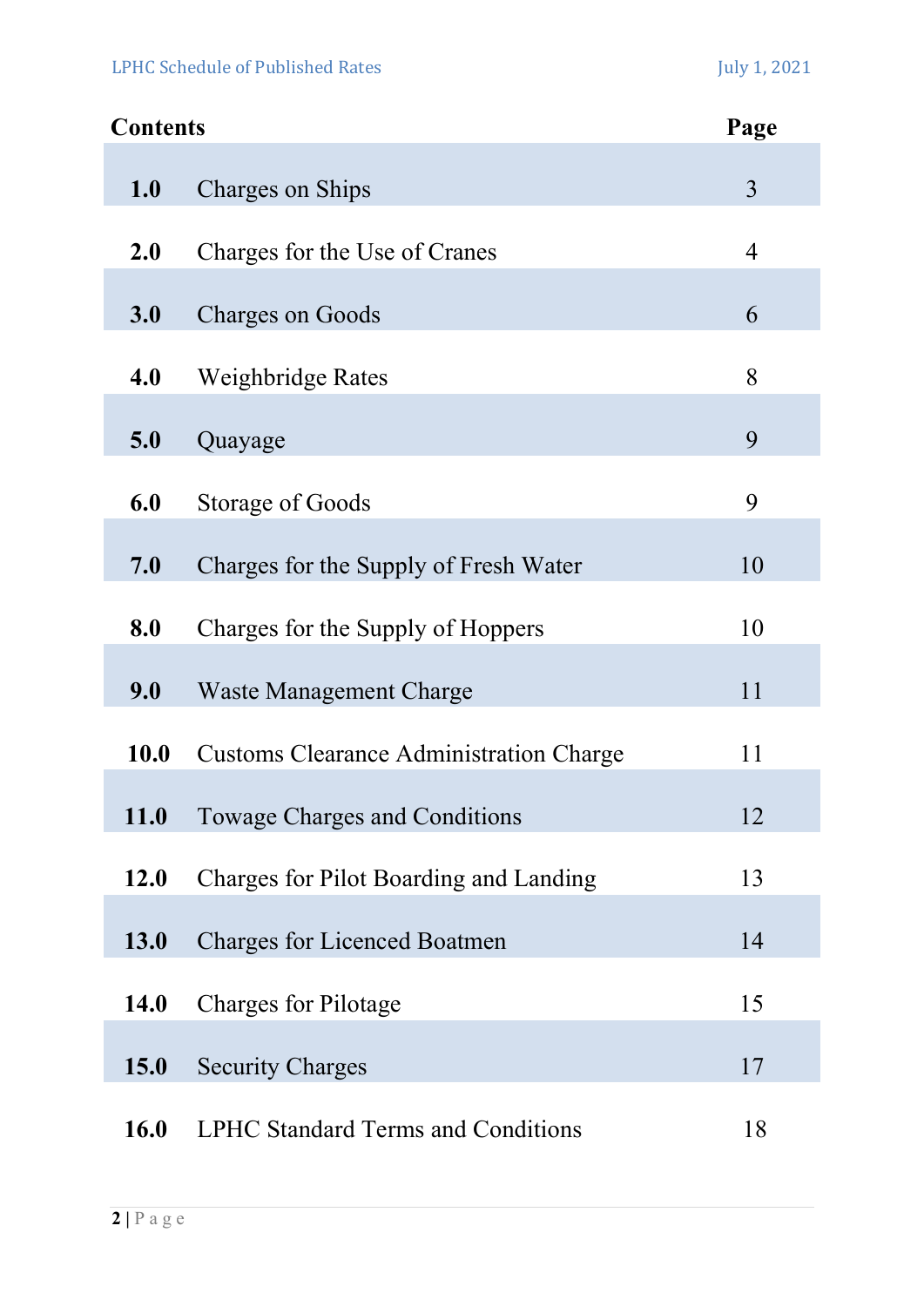# LPHC Schedule of Published Rates July 1, 2021

| <b>Contents</b> |                                                | Page           |
|-----------------|------------------------------------------------|----------------|
| 1.0             | Charges on Ships                               | $\overline{3}$ |
| 2.0             | Charges for the Use of Cranes                  | 4              |
| 3.0             | <b>Charges on Goods</b>                        | 6              |
| 4.0             | Weighbridge Rates                              | 8              |
| 5.0             | Quayage                                        | 9              |
| 6.0             | Storage of Goods                               | 9              |
| 7.0             | Charges for the Supply of Fresh Water          | 10             |
| 8.0             | Charges for the Supply of Hoppers              | 10             |
| 9.0             | <b>Waste Management Charge</b>                 | 11             |
| 10.0            | <b>Customs Clearance Administration Charge</b> | 11             |
| <b>11.0</b>     | Towage Charges and Conditions                  | 12             |
| <b>12.0</b>     | Charges for Pilot Boarding and Landing         | 13             |
| 13.0            | <b>Charges for Licenced Boatmen</b>            | 14             |
| <b>14.0</b>     | <b>Charges for Pilotage</b>                    | 15             |
| <b>15.0</b>     | <b>Security Charges</b>                        | 17             |
| <b>16.0</b>     | <b>LPHC Standard Terms and Conditions</b>      | 18             |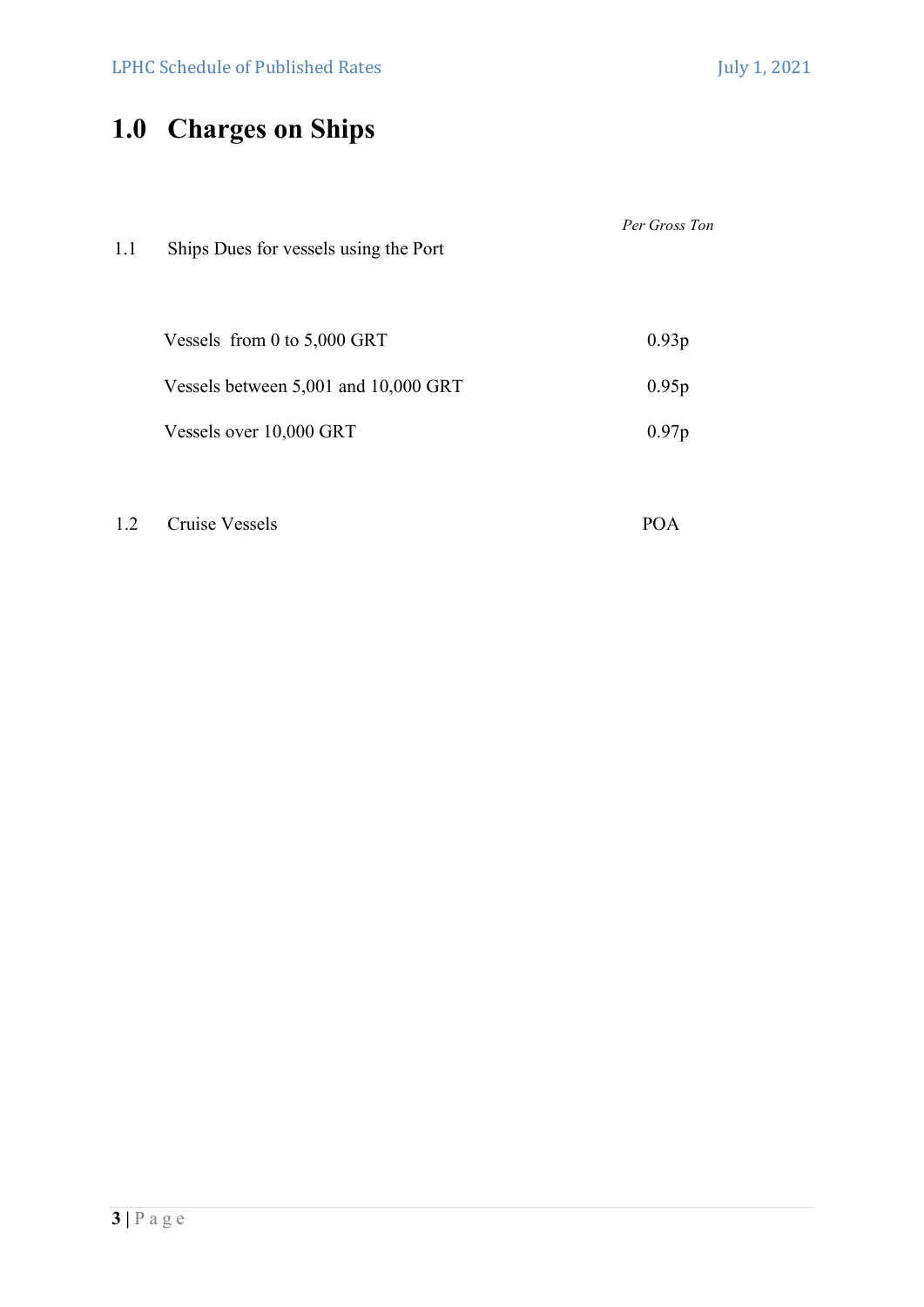# 1.0 Charges on Ships

| 1.1 | Ships Dues for vessels using the Port | Per Gross Ton |
|-----|---------------------------------------|---------------|
|     | Vessels from 0 to $5,000$ GRT         | 0.93p         |
|     | Vessels between 5,001 and 10,000 GRT  | 0.95p         |
|     | Vessels over 10,000 GRT               | 0.97p         |
|     |                                       |               |

1.2 Cruise Vessels POA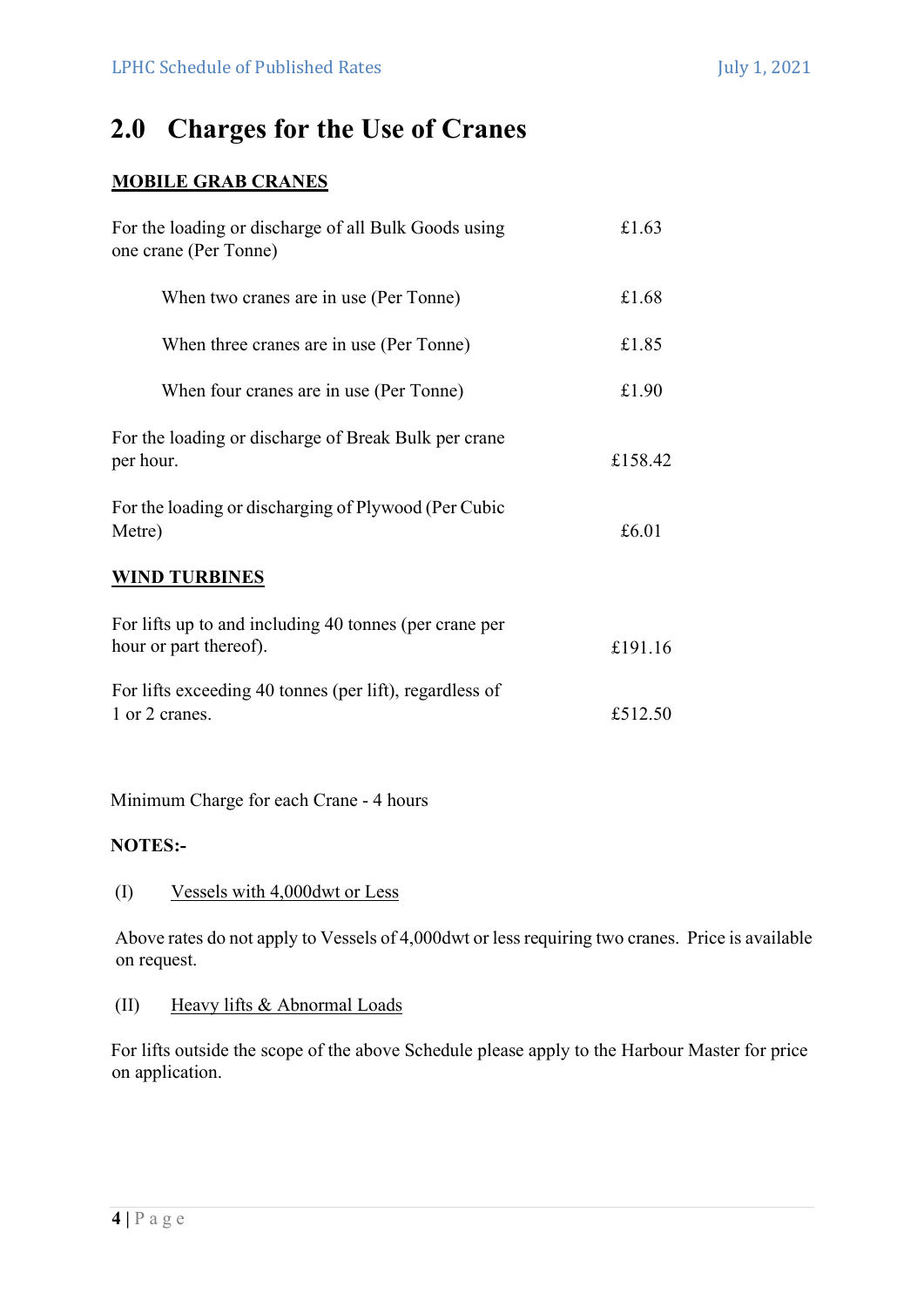# 2.0 Charges for the Use of Cranes

# MOBILE GRAB CRANES

| For the loading or discharge of all Bulk Goods using<br>one crane (Per Tonne)    | £1.63   |
|----------------------------------------------------------------------------------|---------|
| When two cranes are in use (Per Tonne)                                           | £1.68   |
| When three cranes are in use (Per Tonne)                                         | £1.85   |
| When four cranes are in use (Per Tonne)                                          | £1.90   |
| For the loading or discharge of Break Bulk per crane<br>per hour.                | £158.42 |
| For the loading or discharging of Plywood (Per Cubic<br>Metre)                   | £6.01   |
| <b>WIND TURBINES</b>                                                             |         |
| For lifts up to and including 40 tonnes (per crane per<br>hour or part thereof). | £191.16 |
| For lifts exceeding 40 tonnes (per lift), regardless of<br>1 or 2 cranes.        | £512.50 |

Minimum Charge for each Crane - 4 hours

# NOTES:-

### (I) Vessels with 4,000dwt or Less

Above rates do not apply to Vessels of 4,000dwt or less requiring two cranes. Price is available on request.

### (II) Heavy lifts & Abnormal Loads

For lifts outside the scope of the above Schedule please apply to the Harbour Master for price on application.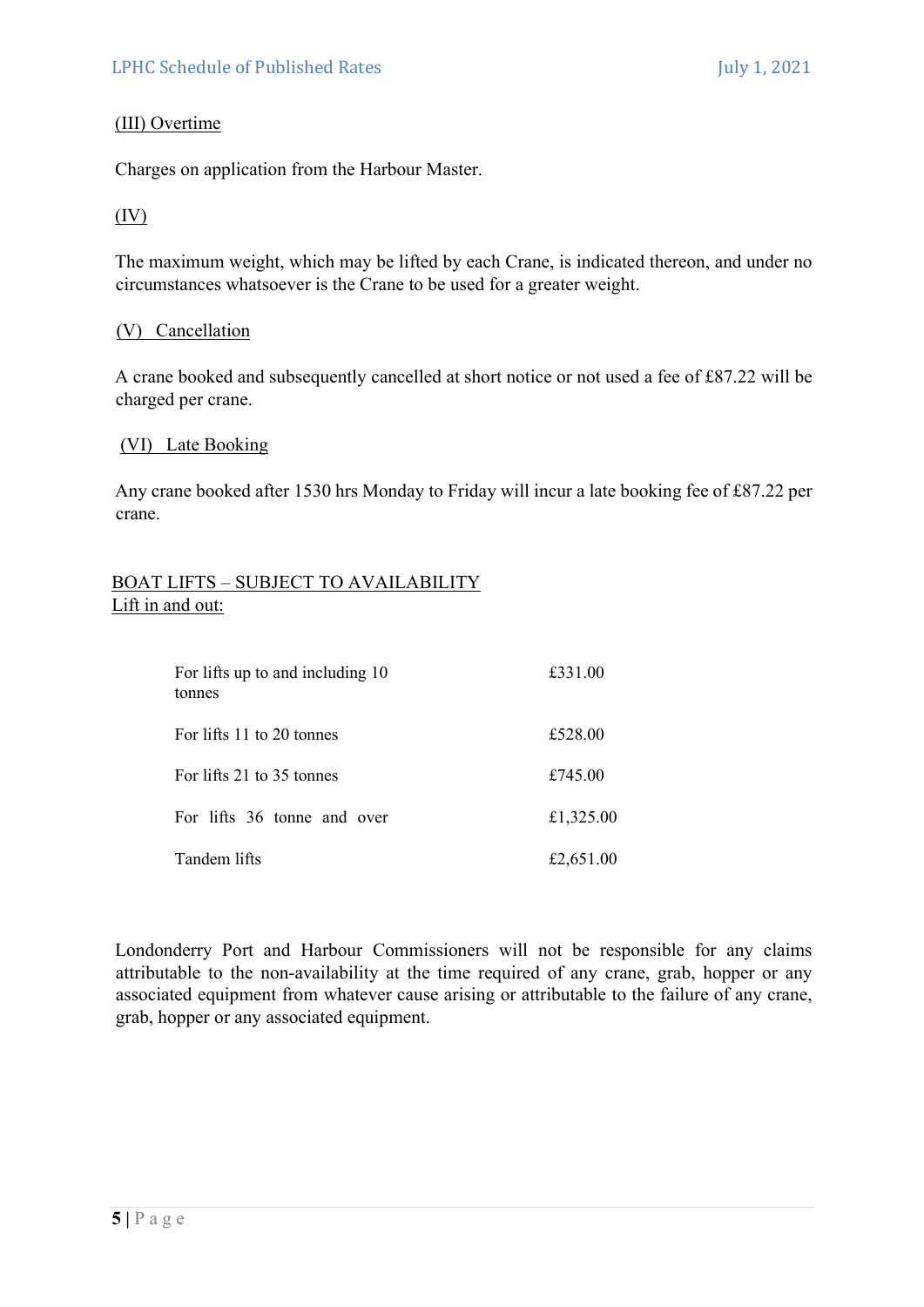# (III) Overtime

Charges on application from the Harbour Master.

# (IV)

The maximum weight, which may be lifted by each Crane, is indicated thereon, and under no circumstances whatsoever is the Crane to be used for a greater weight.

### (V) Cancellation

A crane booked and subsequently cancelled at short notice or not used a fee of £87.22 will be charged per crane.

### (VI) Late Booking

Any crane booked after 1530 hrs Monday to Friday will incur a late booking fee of £87.22 per crane.

### BOAT LIFTS – SUBJECT TO AVAILABILITY Lift in and out:

| For lifts up to and including 10<br>tonnes | £331.00   |
|--------------------------------------------|-----------|
| For lifts 11 to 20 tonnes                  | £528.00   |
| For lifts 21 to 35 tonnes                  | £745.00   |
| For lifts 36 tonne and over                | £1,325.00 |
| Tandem lifts                               | £2,651.00 |

Londonderry Port and Harbour Commissioners will not be responsible for any claims attributable to the non-availability at the time required of any crane, grab, hopper or any associated equipment from whatever cause arising or attributable to the failure of any crane, grab, hopper or any associated equipment.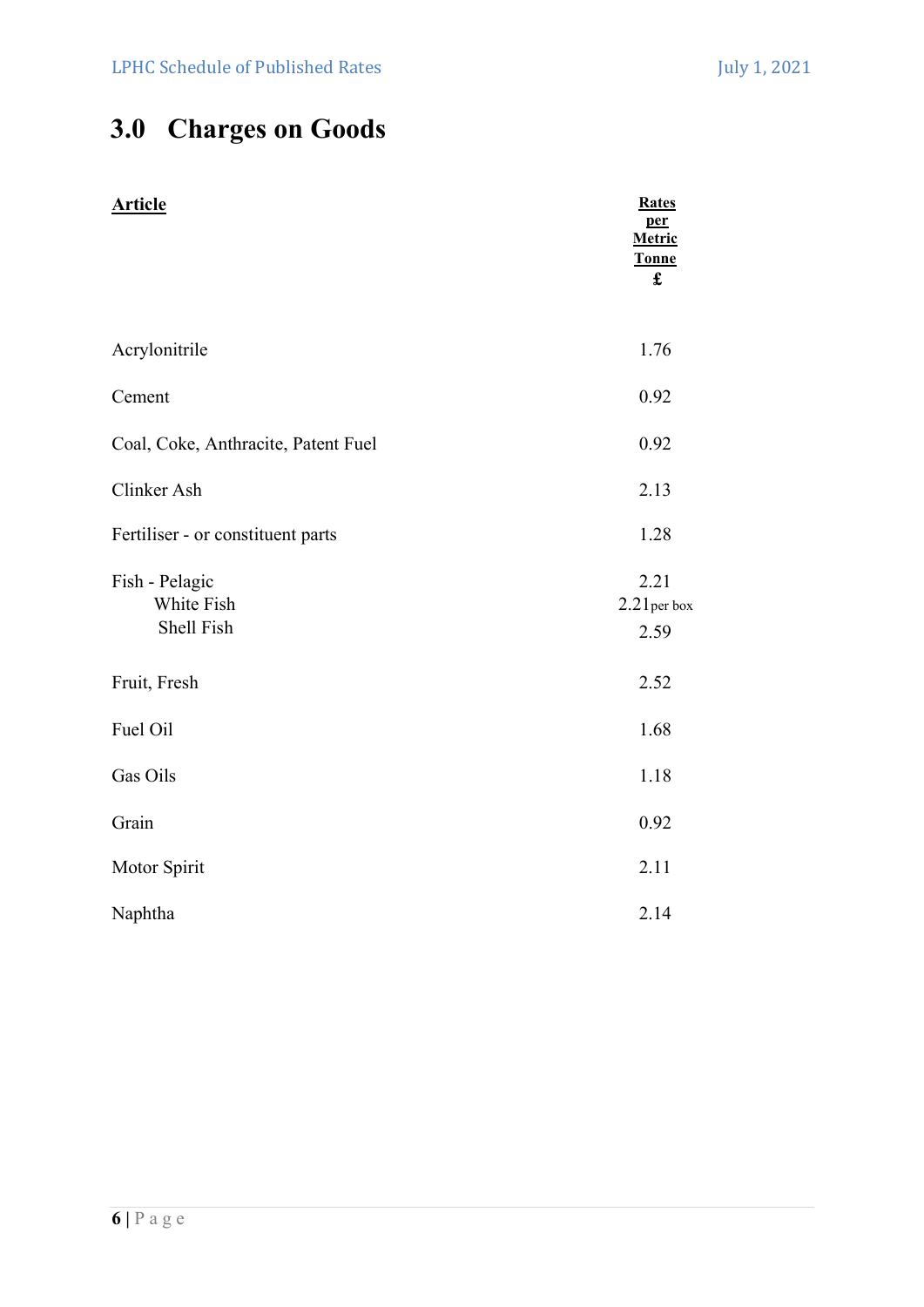# 3.0 Charges on Goods

| <b>Article</b>                             | <b>Rates</b><br>per<br>Metric<br><b>Tonne</b><br>$\mathbf f$ |
|--------------------------------------------|--------------------------------------------------------------|
| Acrylonitrile                              | 1.76                                                         |
| Cement                                     | 0.92                                                         |
| Coal, Coke, Anthracite, Patent Fuel        | 0.92                                                         |
| Clinker Ash                                | 2.13                                                         |
| Fertiliser - or constituent parts          | 1.28                                                         |
| Fish - Pelagic<br>White Fish<br>Shell Fish | 2.21<br>$2.21$ per box<br>2.59                               |
| Fruit, Fresh                               | 2.52                                                         |
| Fuel Oil                                   | 1.68                                                         |
| Gas Oils                                   | 1.18                                                         |
| Grain                                      | 0.92                                                         |
| Motor Spirit                               | 2.11                                                         |
| Naphtha                                    | 2.14                                                         |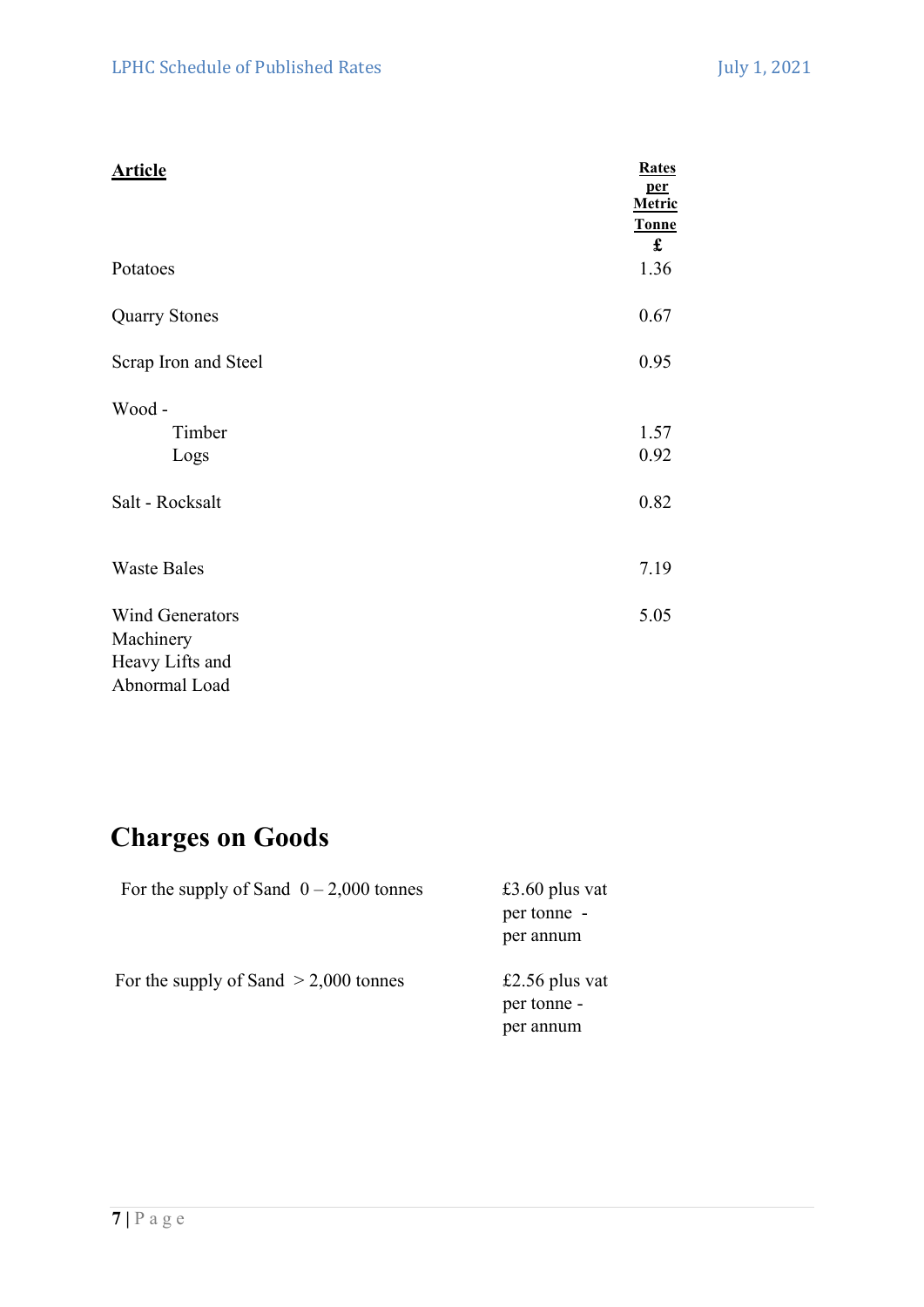| <b>Article</b>         | <b>Rates</b><br>per<br>Metric<br><b>Tonne</b><br>£ |
|------------------------|----------------------------------------------------|
| Potatoes               | 1.36                                               |
| <b>Quarry Stones</b>   | 0.67                                               |
| Scrap Iron and Steel   | 0.95                                               |
| Wood-                  |                                                    |
| Timber                 | 1.57                                               |
| Logs                   | 0.92                                               |
| Salt - Rocksalt        | 0.82                                               |
| <b>Waste Bales</b>     | 7.19                                               |
| <b>Wind Generators</b> | 5.05                                               |
| Machinery              |                                                    |
| Heavy Lifts and        |                                                    |
| Abnormal Load          |                                                    |

# Charges on Goods

| For the supply of Sand $0 - 2,000$ tonnes | £3.60 plus vat<br>per tonne -<br>per annum |
|-------------------------------------------|--------------------------------------------|
| For the supply of Sand $> 2,000$ tonnes   | £2.56 plus vat<br>per tonne -<br>per annum |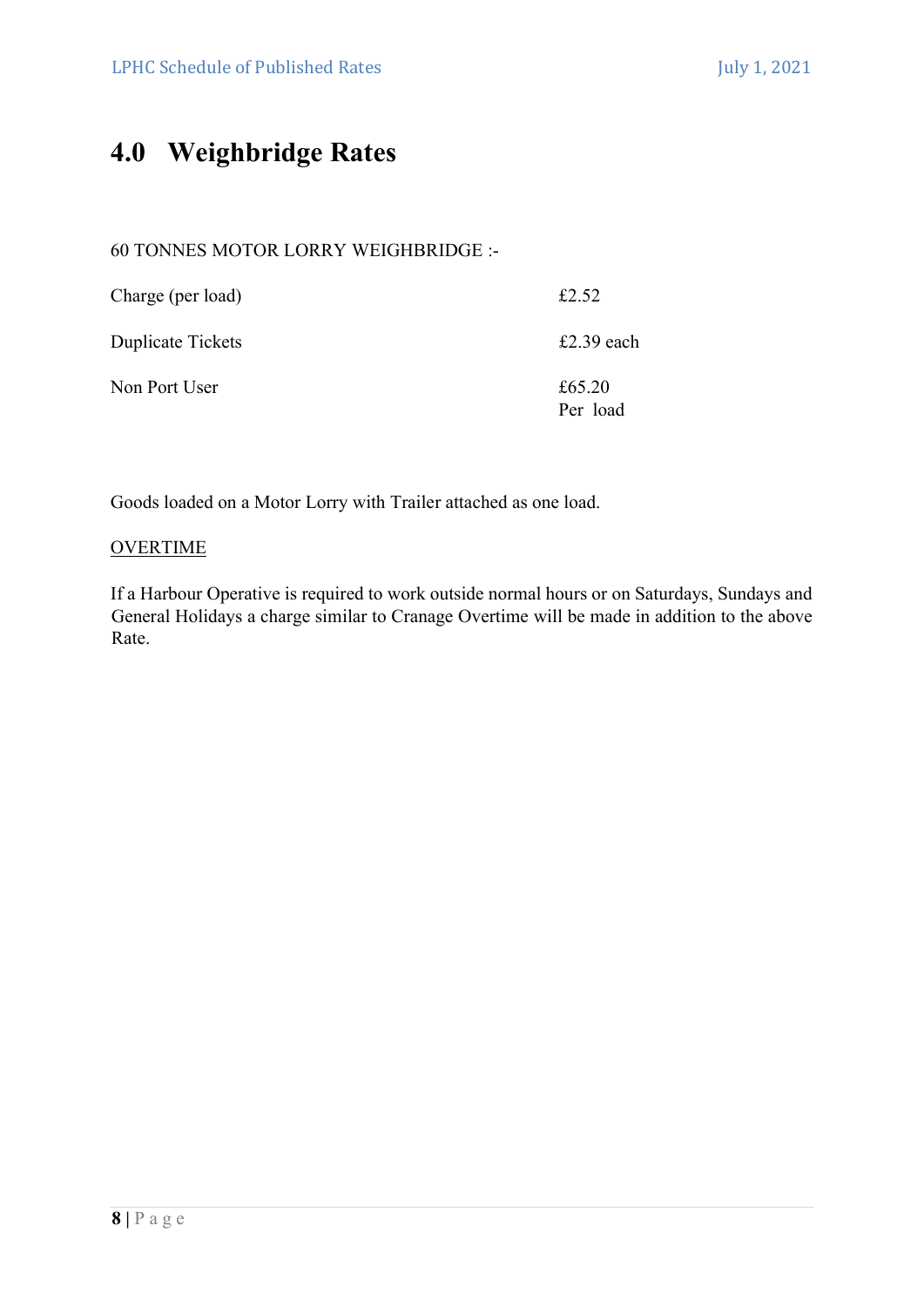# 4.0 Weighbridge Rates

# 60 TONNES MOTOR LORRY WEIGHBRIDGE :-

| Charge (per load) | £2.52              |
|-------------------|--------------------|
| Duplicate Tickets | £2.39 each         |
| Non Port User     | £65.20<br>Per load |

Goods loaded on a Motor Lorry with Trailer attached as one load.

# **OVERTIME**

If a Harbour Operative is required to work outside normal hours or on Saturdays, Sundays and General Holidays a charge similar to Cranage Overtime will be made in addition to the above Rate.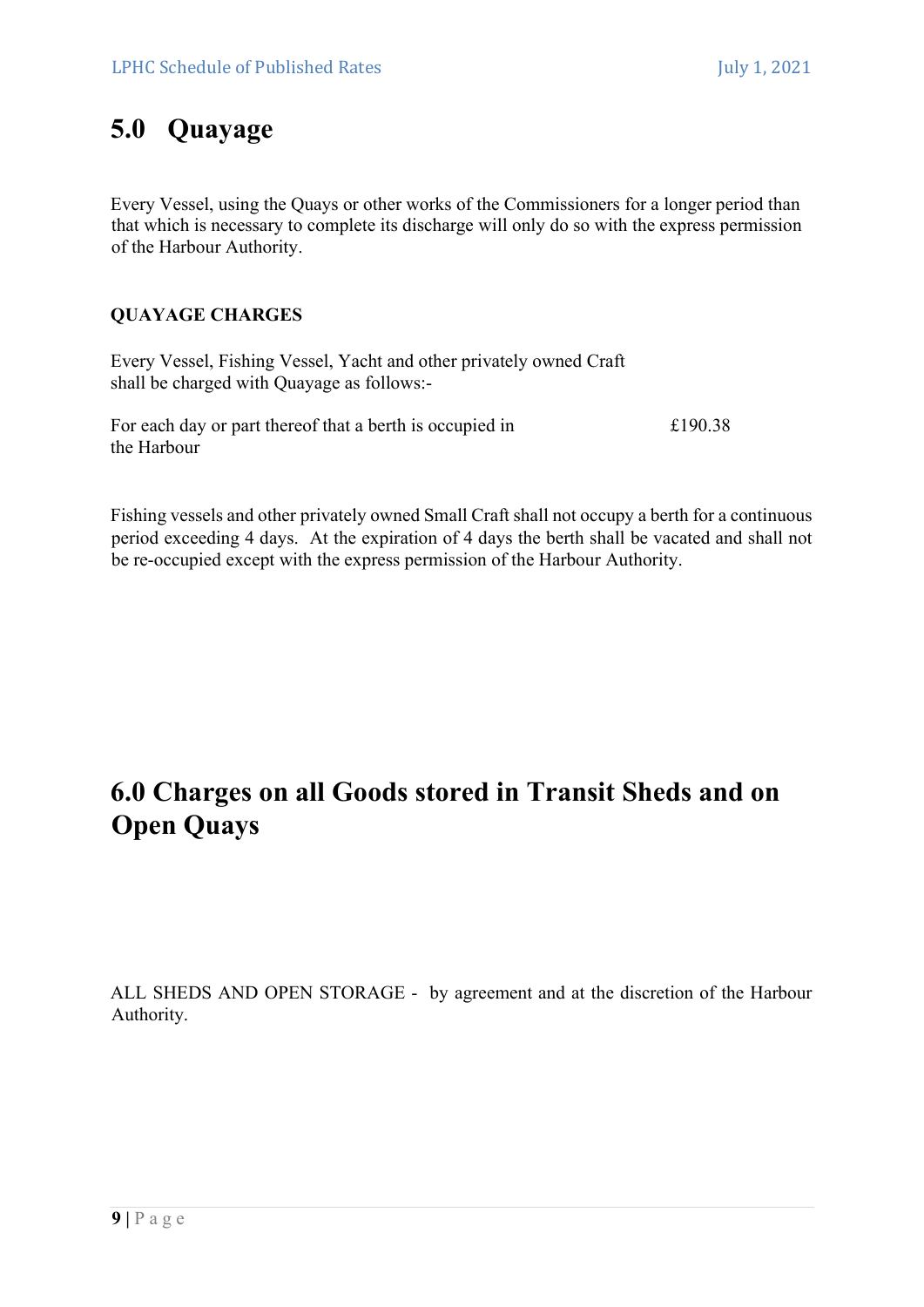# 5.0 Quayage

Every Vessel, using the Quays or other works of the Commissioners for a longer period than that which is necessary to complete its discharge will only do so with the express permission of the Harbour Authority.

# QUAYAGE CHARGES

Every Vessel, Fishing Vessel, Yacht and other privately owned Craft shall be charged with Quayage as follows:-

For each day or part thereof that a berth is occupied in  $£190.38$ the Harbour

Fishing vessels and other privately owned Small Craft shall not occupy a berth for a continuous period exceeding 4 days. At the expiration of 4 days the berth shall be vacated and shall not be re-occupied except with the express permission of the Harbour Authority.

# 6.0 Charges on all Goods stored in Transit Sheds and on Open Quays

ALL SHEDS AND OPEN STORAGE - by agreement and at the discretion of the Harbour Authority.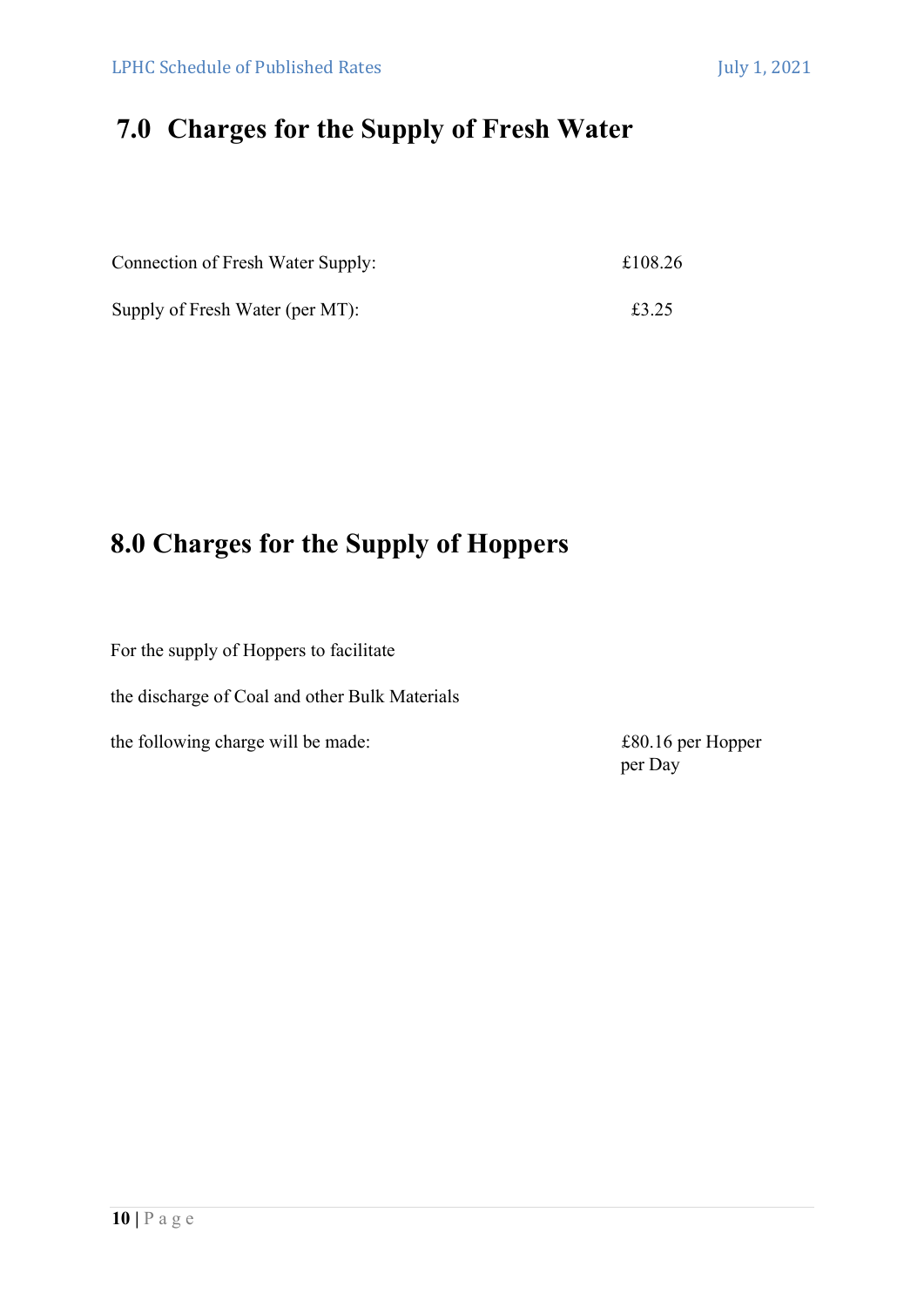# 7.0 Charges for the Supply of Fresh Water

| Connection of Fresh Water Supply: | £108.26 |
|-----------------------------------|---------|
| Supply of Fresh Water (per MT):   | £3.25   |

# 8.0 Charges for the Supply of Hoppers

For the supply of Hoppers to facilitate

the discharge of Coal and other Bulk Materials

the following charge will be made:  $£80.16$  per Hopper

per Day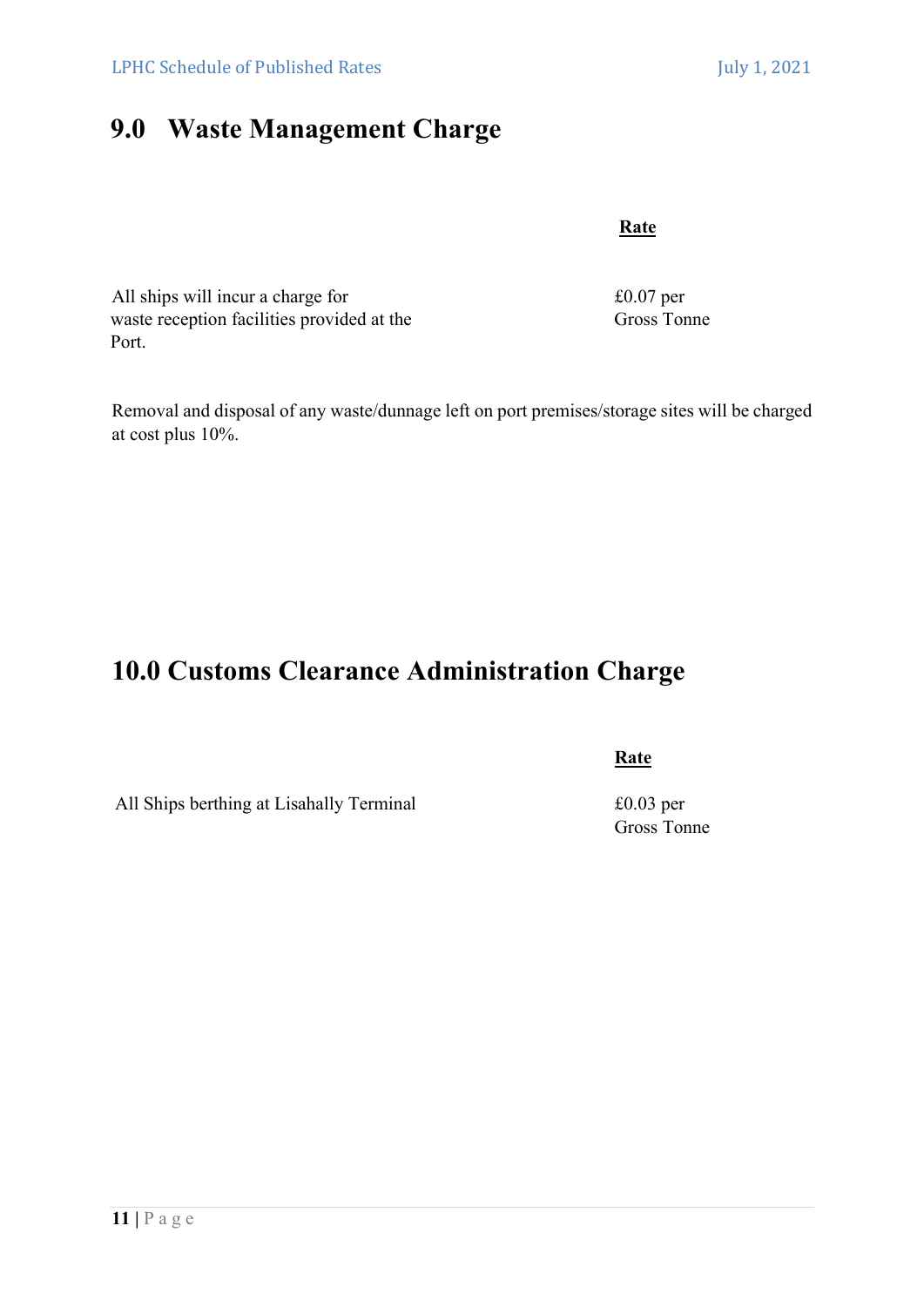# 9.0 Waste Management Charge

**Rate** 

All ships will incur a charge for  $£0.07$  per waste reception facilities provided at the Gross Tonne Port.

Removal and disposal of any waste/dunnage left on port premises/storage sites will be charged at cost plus 10%.

# 10.0 Customs Clearance Administration Charge

All Ships berthing at Lisahally Terminal  $£0.03$  per

**Rate** 

Gross Tonne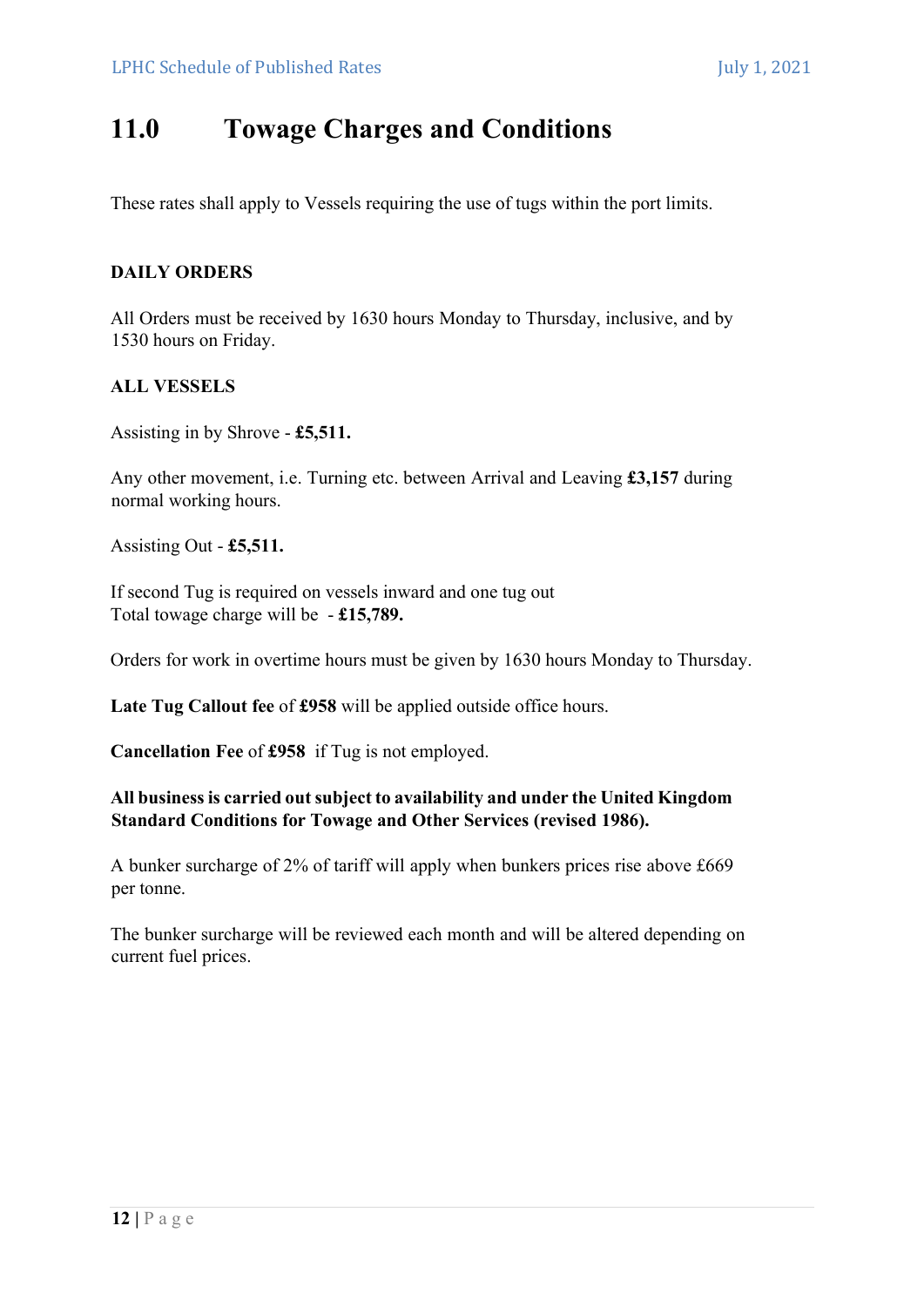# 11.0 Towage Charges and Conditions

These rates shall apply to Vessels requiring the use of tugs within the port limits.

# DAILY ORDERS

All Orders must be received by 1630 hours Monday to Thursday, inclusive, and by 1530 hours on Friday.

# ALL VESSELS

Assisting in by Shrove - £5,511.

Any other movement, i.e. Turning etc. between Arrival and Leaving £3,157 during normal working hours.

Assisting Out - £5,511.

If second Tug is required on vessels inward and one tug out Total towage charge will be - £15,789.

Orders for work in overtime hours must be given by 1630 hours Monday to Thursday.

Late Tug Callout fee of £958 will be applied outside office hours.

Cancellation Fee of £958 if Tug is not employed.

# All business is carried out subject to availability and under the United Kingdom Standard Conditions for Towage and Other Services (revised 1986).

A bunker surcharge of 2% of tariff will apply when bunkers prices rise above £669 per tonne.

The bunker surcharge will be reviewed each month and will be altered depending on current fuel prices.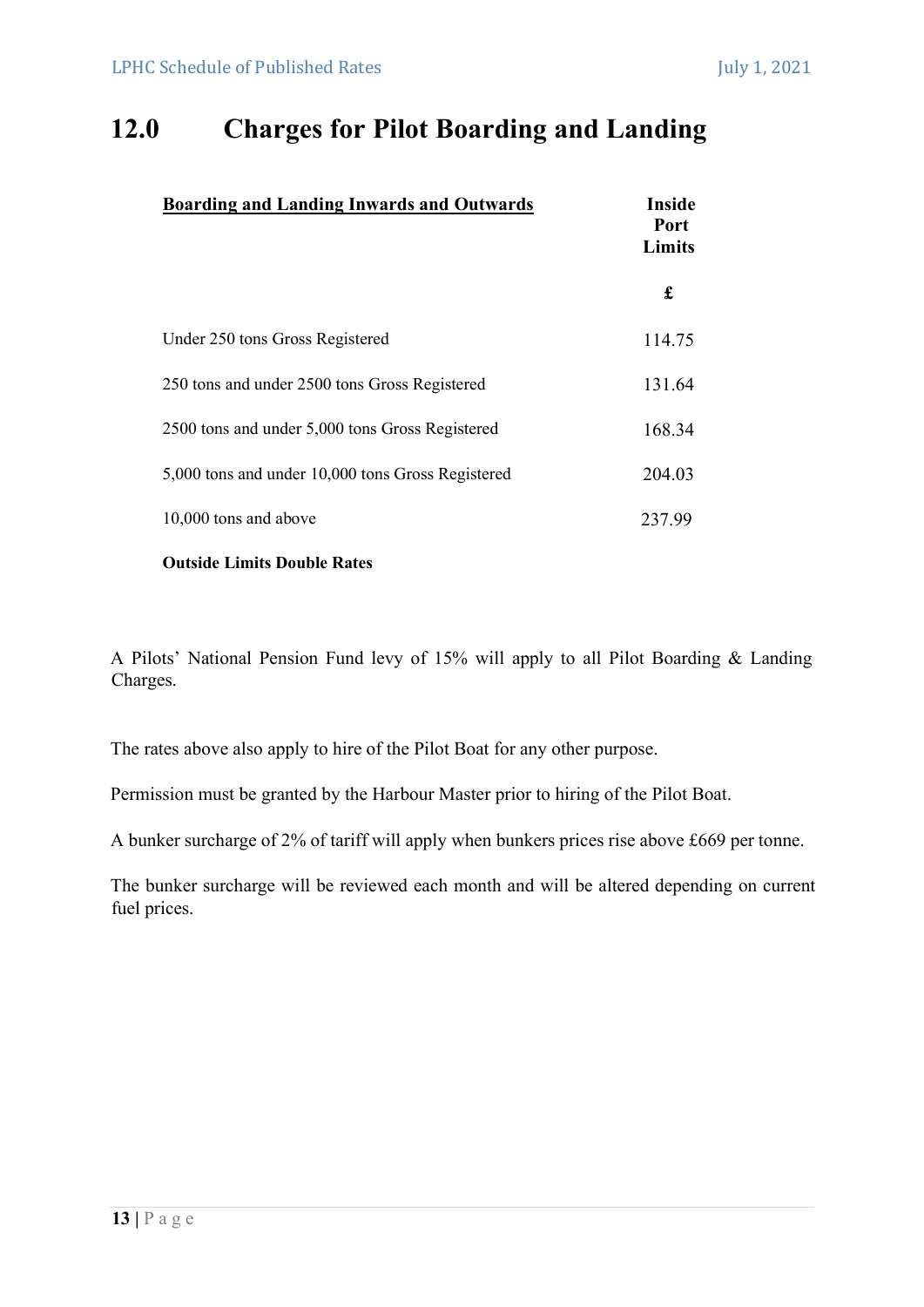# 12.0 Charges for Pilot Boarding and Landing

| <b>Boarding and Landing Inwards and Outwards</b>  | <b>Inside</b><br>Port<br>Limits |  |
|---------------------------------------------------|---------------------------------|--|
|                                                   | £                               |  |
| Under 250 tons Gross Registered                   | 114.75                          |  |
| 250 tons and under 2500 tons Gross Registered     | 131.64                          |  |
| 2500 tons and under 5,000 tons Gross Registered   | 168.34                          |  |
| 5,000 tons and under 10,000 tons Gross Registered | 204.03                          |  |
| 10,000 tons and above                             | 237.99                          |  |

Outside Limits Double Rates

A Pilots' National Pension Fund levy of 15% will apply to all Pilot Boarding & Landing Charges.

The rates above also apply to hire of the Pilot Boat for any other purpose.

Permission must be granted by the Harbour Master prior to hiring of the Pilot Boat.

A bunker surcharge of 2% of tariff will apply when bunkers prices rise above £669 per tonne.

The bunker surcharge will be reviewed each month and will be altered depending on current fuel prices.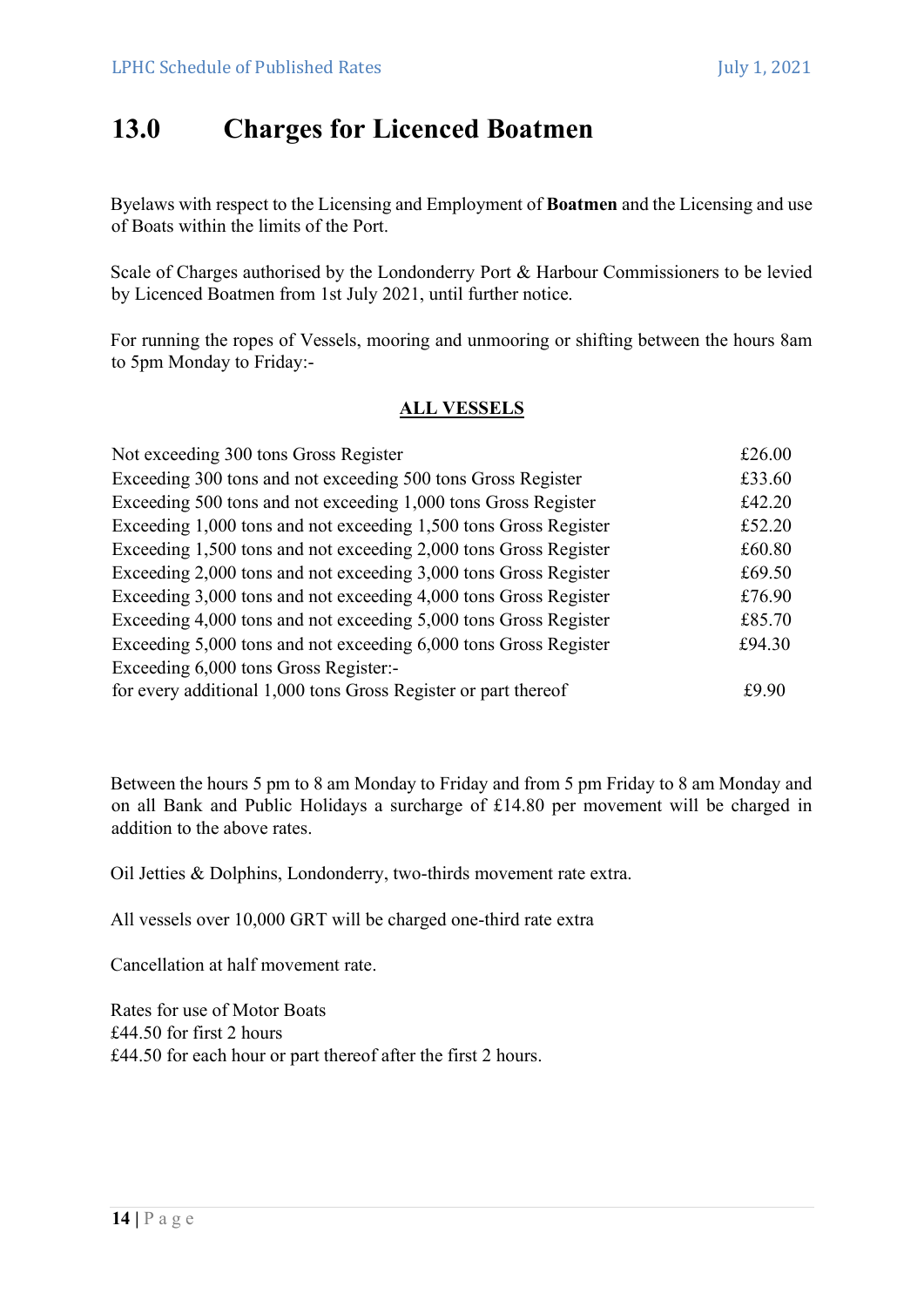# 13.0 Charges for Licenced Boatmen

Byelaws with respect to the Licensing and Employment of Boatmen and the Licensing and use of Boats within the limits of the Port.

Scale of Charges authorised by the Londonderry Port & Harbour Commissioners to be levied by Licenced Boatmen from 1st July 2021, until further notice.

For running the ropes of Vessels, mooring and unmooring or shifting between the hours 8am to 5pm Monday to Friday:-

# ALL VESSELS

| Not exceeding 300 tons Gross Register                            | £26.00 |
|------------------------------------------------------------------|--------|
| Exceeding 300 tons and not exceeding 500 tons Gross Register     | £33.60 |
| Exceeding 500 tons and not exceeding 1,000 tons Gross Register   | £42.20 |
| Exceeding 1,000 tons and not exceeding 1,500 tons Gross Register | £52.20 |
| Exceeding 1,500 tons and not exceeding 2,000 tons Gross Register | £60.80 |
| Exceeding 2,000 tons and not exceeding 3,000 tons Gross Register | £69.50 |
| Exceeding 3,000 tons and not exceeding 4,000 tons Gross Register | £76.90 |
| Exceeding 4,000 tons and not exceeding 5,000 tons Gross Register | £85.70 |
| Exceeding 5,000 tons and not exceeding 6,000 tons Gross Register | £94.30 |
| Exceeding 6,000 tons Gross Register:-                            |        |
| for every additional 1,000 tons Gross Register or part thereof   | £9.90  |

Between the hours 5 pm to 8 am Monday to Friday and from 5 pm Friday to 8 am Monday and on all Bank and Public Holidays a surcharge of £14.80 per movement will be charged in addition to the above rates.

Oil Jetties & Dolphins, Londonderry, two-thirds movement rate extra.

All vessels over 10,000 GRT will be charged one-third rate extra

Cancellation at half movement rate.

Rates for use of Motor Boats £44.50 for first 2 hours £44.50 for each hour or part thereof after the first 2 hours.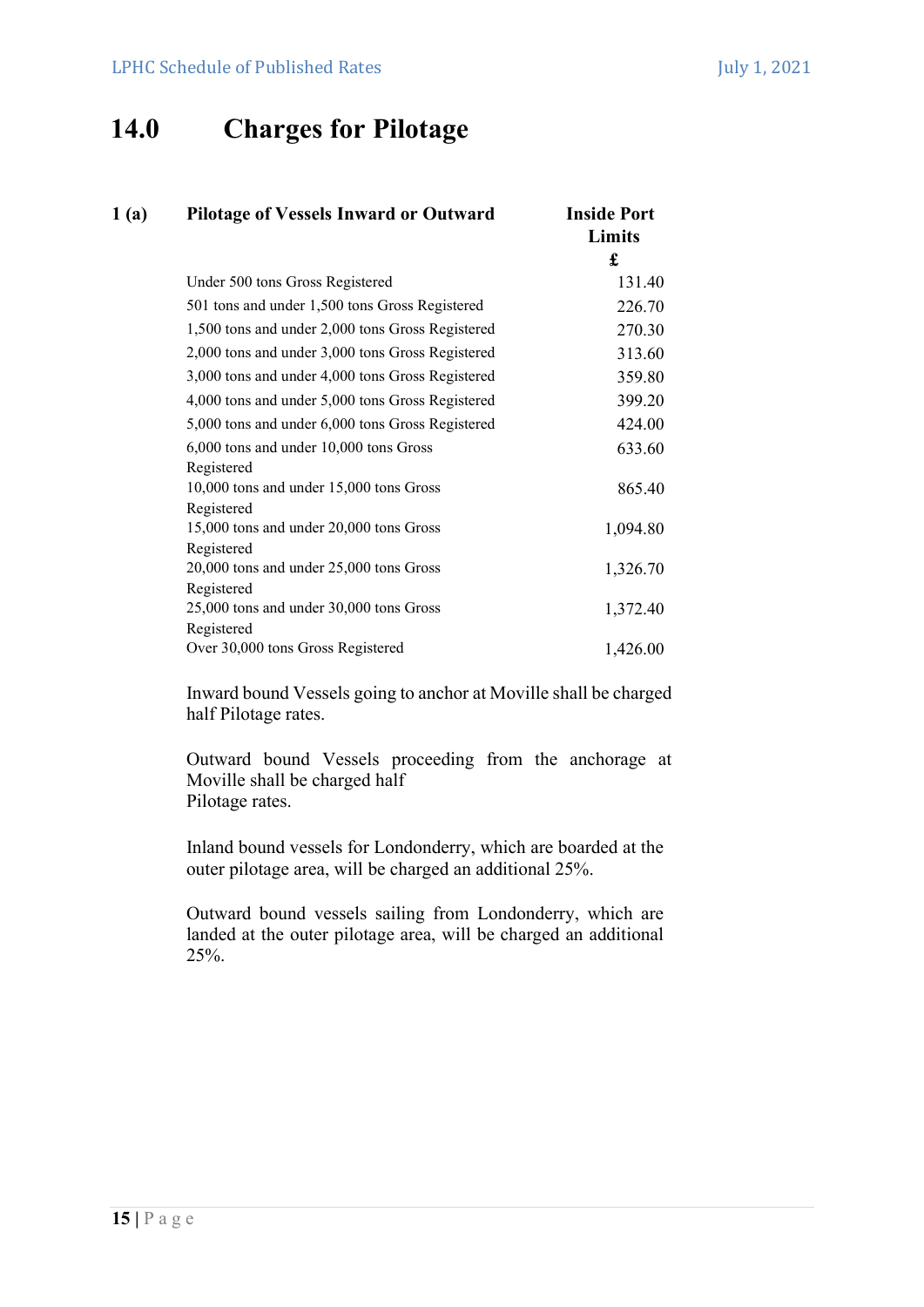# 14.0 Charges for Pilotage

| 1(a) | <b>Pilotage of Vessels Inward or Outward</b>     | <b>Inside Port</b><br>Limits |
|------|--------------------------------------------------|------------------------------|
|      |                                                  | £                            |
|      | Under 500 tons Gross Registered                  | 131.40                       |
|      | 501 tons and under 1,500 tons Gross Registered   | 226.70                       |
|      | 1,500 tons and under 2,000 tons Gross Registered | 270.30                       |
|      | 2,000 tons and under 3,000 tons Gross Registered | 313.60                       |
|      | 3,000 tons and under 4,000 tons Gross Registered | 359.80                       |
|      | 4,000 tons and under 5,000 tons Gross Registered | 399.20                       |
|      | 5,000 tons and under 6,000 tons Gross Registered | 424.00                       |
|      | 6,000 tons and under 10,000 tons Gross           | 633.60                       |
|      | Registered                                       |                              |
|      | 10,000 tons and under 15,000 tons Gross          | 865.40                       |
|      | Registered                                       |                              |
|      | 15,000 tons and under 20,000 tons Gross          | 1,094.80                     |
|      | Registered                                       |                              |
|      | 20,000 tons and under 25,000 tons Gross          | 1,326.70                     |
|      | Registered                                       |                              |
|      | 25,000 tons and under 30,000 tons Gross          | 1,372.40                     |
|      | Registered                                       |                              |
|      | Over 30,000 tons Gross Registered                | 1,426.00                     |

Inward bound Vessels going to anchor at Moville shall be charged half Pilotage rates.

Outward bound Vessels proceeding from the anchorage at Moville shall be charged half Pilotage rates.

Inland bound vessels for Londonderry, which are boarded at the outer pilotage area, will be charged an additional 25%.

Outward bound vessels sailing from Londonderry, which are landed at the outer pilotage area, will be charged an additional 25%.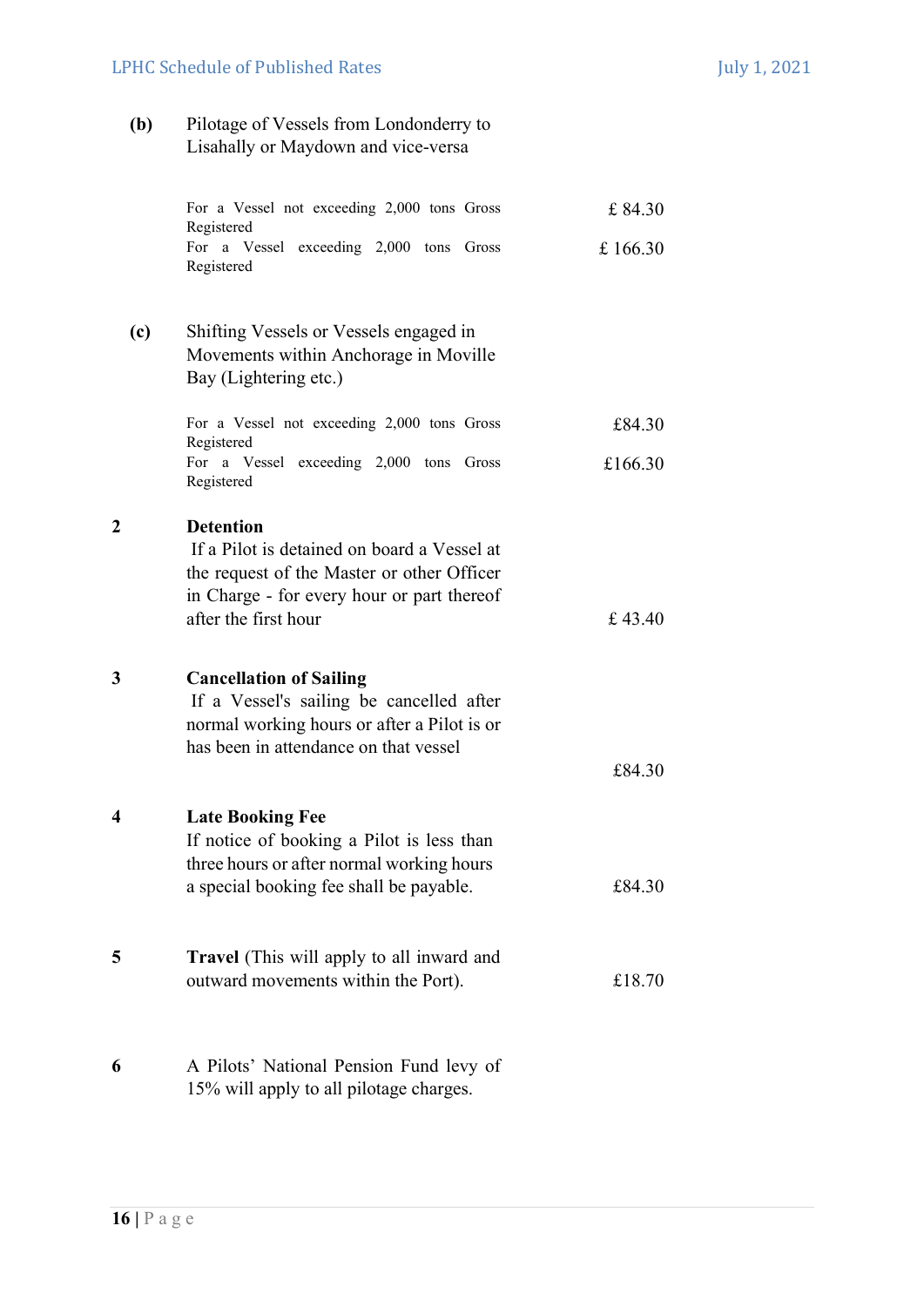# LPHC Schedule of Published Rates July 1, 2021

(b) Pilotage of Vessels from Londonderry to Lisahally or Maydown and vice-versa

|     | For a Vessel not exceeding 2,000 tons Gross<br>Registered                                                                                                                           | £84.30   |
|-----|-------------------------------------------------------------------------------------------------------------------------------------------------------------------------------------|----------|
|     | For a Vessel exceeding 2,000 tons Gross<br>Registered                                                                                                                               | £ 166.30 |
| (c) | Shifting Vessels or Vessels engaged in<br>Movements within Anchorage in Moville<br>Bay (Lightering etc.)                                                                            |          |
|     | For a Vessel not exceeding 2,000 tons Gross<br>Registered                                                                                                                           | £84.30   |
|     | For a Vessel exceeding 2,000 tons Gross<br>Registered                                                                                                                               | £166.30  |
| 2   | <b>Detention</b><br>If a Pilot is detained on board a Vessel at<br>the request of the Master or other Officer<br>in Charge - for every hour or part thereof<br>after the first hour | £43.40   |
| 3   | <b>Cancellation of Sailing</b><br>If a Vessel's sailing be cancelled after<br>normal working hours or after a Pilot is or<br>has been in attendance on that vessel                  | £84.30   |
| 4   | <b>Late Booking Fee</b>                                                                                                                                                             |          |
|     | If notice of booking a Pilot is less than<br>three hours or after normal working hours<br>a special booking fee shall be payable.                                                   | £84.30   |
| 5   | <b>Travel</b> (This will apply to all inward and<br>outward movements within the Port).                                                                                             | £18.70   |
| 6   | A Pilots' National Pension Fund levy of<br>15% will apply to all pilotage charges.                                                                                                  |          |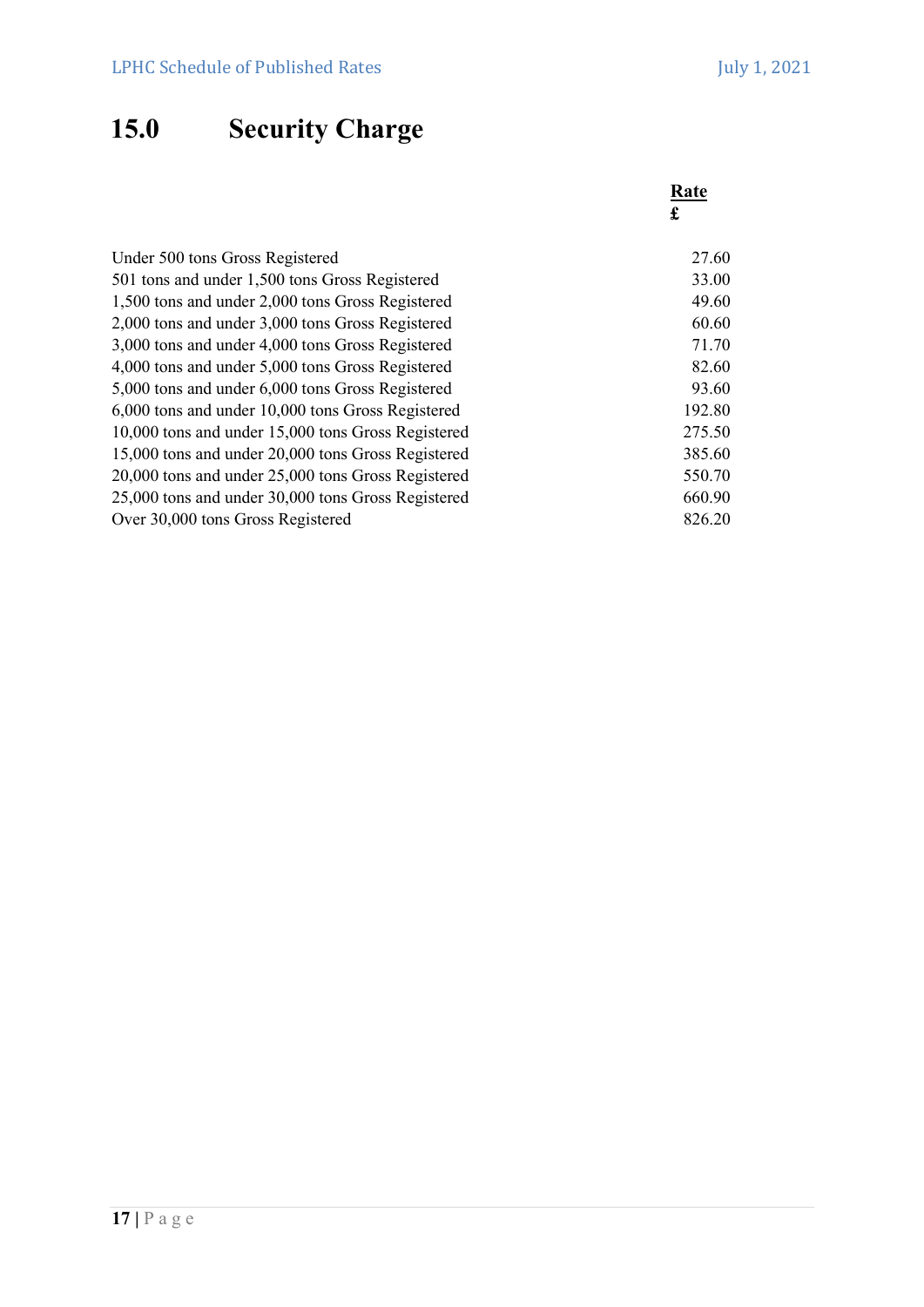# 15.0 Security Charge

|                                                    | Rate<br>£ |
|----------------------------------------------------|-----------|
| Under 500 tons Gross Registered                    | 27.60     |
| 501 tons and under 1,500 tons Gross Registered     | 33.00     |
| 1,500 tons and under 2,000 tons Gross Registered   | 49.60     |
| 2,000 tons and under 3,000 tons Gross Registered   | 60.60     |
| 3,000 tons and under 4,000 tons Gross Registered   | 71.70     |
| 4,000 tons and under 5,000 tons Gross Registered   | 82.60     |
| 5,000 tons and under 6,000 tons Gross Registered   | 93.60     |
| 6,000 tons and under 10,000 tons Gross Registered  | 192.80    |
| 10,000 tons and under 15,000 tons Gross Registered | 275.50    |
| 15,000 tons and under 20,000 tons Gross Registered | 385.60    |
| 20,000 tons and under 25,000 tons Gross Registered | 550.70    |
| 25,000 tons and under 30,000 tons Gross Registered |           |
| Over 30,000 tons Gross Registered                  |           |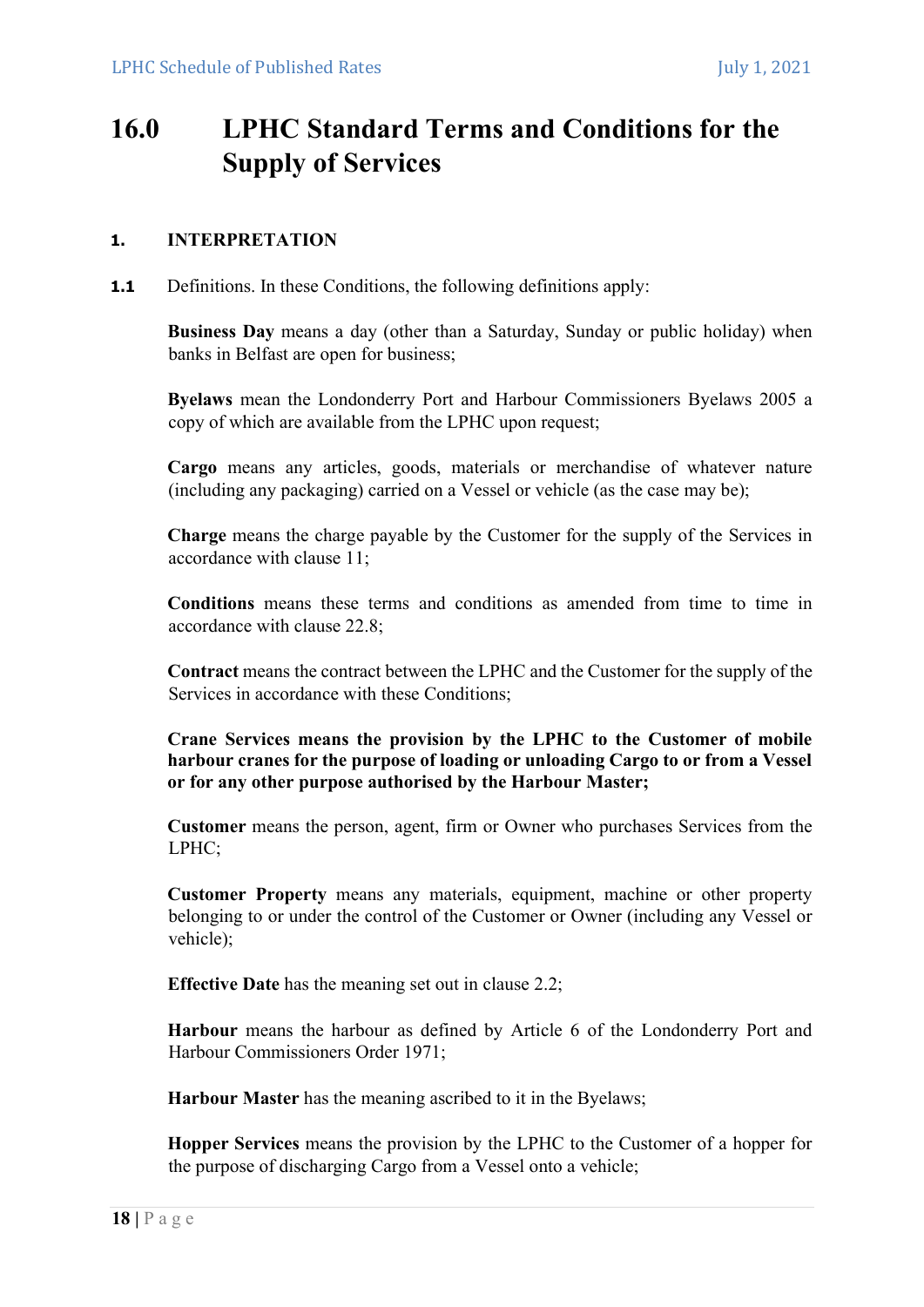# 16.0 LPHC Standard Terms and Conditions for the Supply of Services

# 1. INTERPRETATION

**1.1** Definitions. In these Conditions, the following definitions apply:

Business Day means a day (other than a Saturday, Sunday or public holiday) when banks in Belfast are open for business;

Byelaws mean the Londonderry Port and Harbour Commissioners Byelaws 2005 a copy of which are available from the LPHC upon request;

Cargo means any articles, goods, materials or merchandise of whatever nature (including any packaging) carried on a Vessel or vehicle (as the case may be);

Charge means the charge payable by the Customer for the supply of the Services in accordance with clause 11;

Conditions means these terms and conditions as amended from time to time in accordance with clause 22.8;

Contract means the contract between the LPHC and the Customer for the supply of the Services in accordance with these Conditions;

Crane Services means the provision by the LPHC to the Customer of mobile harbour cranes for the purpose of loading or unloading Cargo to or from a Vessel or for any other purpose authorised by the Harbour Master;

Customer means the person, agent, firm or Owner who purchases Services from the LPHC;

Customer Property means any materials, equipment, machine or other property belonging to or under the control of the Customer or Owner (including any Vessel or vehicle);

Effective Date has the meaning set out in clause 2.2;

Harbour means the harbour as defined by Article 6 of the Londonderry Port and Harbour Commissioners Order 1971;

Harbour Master has the meaning ascribed to it in the Byelaws;

Hopper Services means the provision by the LPHC to the Customer of a hopper for the purpose of discharging Cargo from a Vessel onto a vehicle;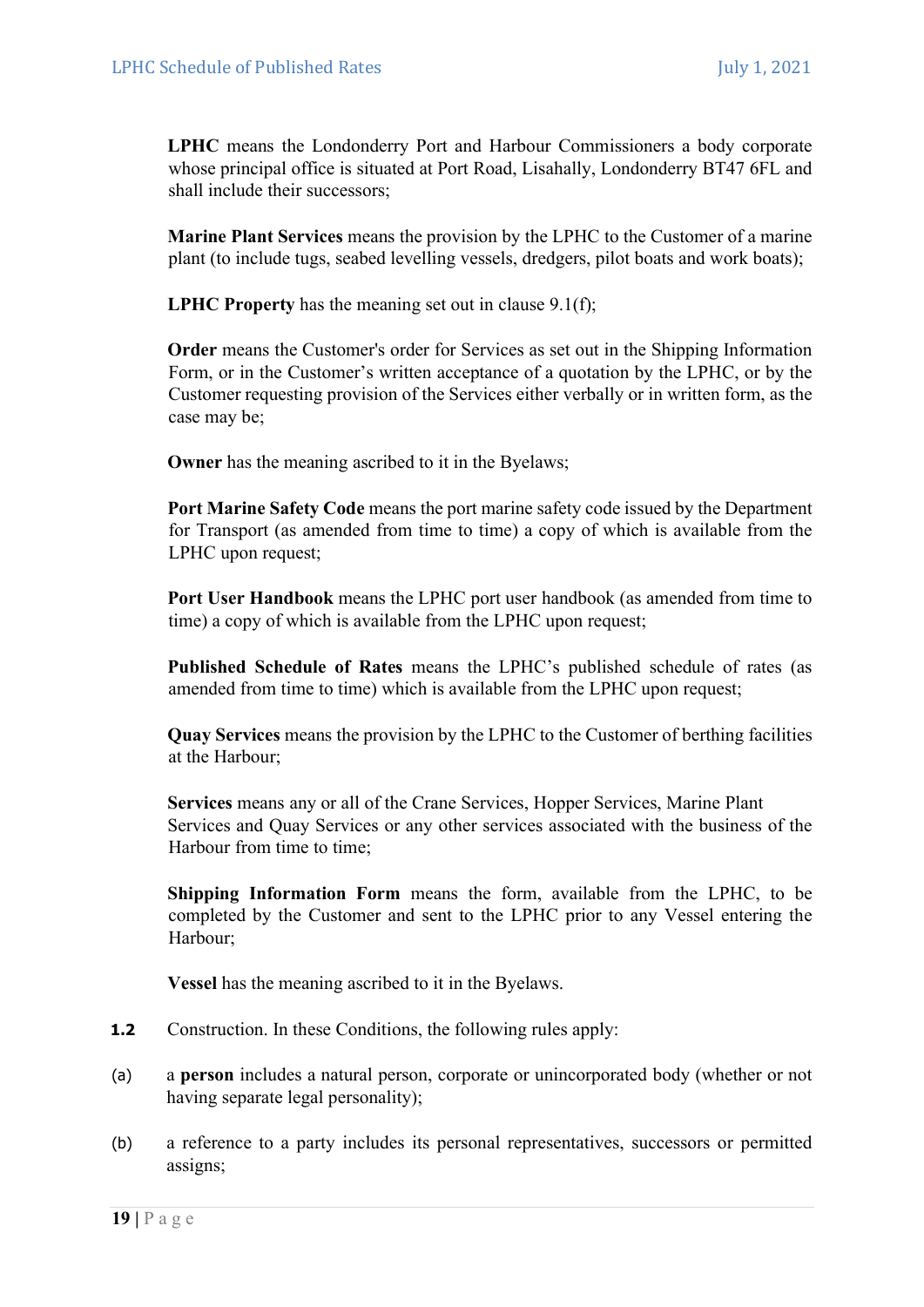LPHC means the Londonderry Port and Harbour Commissioners a body corporate whose principal office is situated at Port Road, Lisahally, Londonderry BT47 6FL and shall include their successors;

Marine Plant Services means the provision by the LPHC to the Customer of a marine plant (to include tugs, seabed levelling vessels, dredgers, pilot boats and work boats);

LPHC Property has the meaning set out in clause 9.1(f);

Order means the Customer's order for Services as set out in the Shipping Information Form, or in the Customer's written acceptance of a quotation by the LPHC, or by the Customer requesting provision of the Services either verbally or in written form, as the case may be;

Owner has the meaning ascribed to it in the Byelaws;

Port Marine Safety Code means the port marine safety code issued by the Department for Transport (as amended from time to time) a copy of which is available from the LPHC upon request;

Port User Handbook means the LPHC port user handbook (as amended from time to time) a copy of which is available from the LPHC upon request;

Published Schedule of Rates means the LPHC's published schedule of rates (as amended from time to time) which is available from the LPHC upon request;

Quay Services means the provision by the LPHC to the Customer of berthing facilities at the Harbour;

Services means any or all of the Crane Services, Hopper Services, Marine Plant Services and Quay Services or any other services associated with the business of the Harbour from time to time;

Shipping Information Form means the form, available from the LPHC, to be completed by the Customer and sent to the LPHC prior to any Vessel entering the Harbour;

Vessel has the meaning ascribed to it in the Byelaws.

- 1.2 Construction. In these Conditions, the following rules apply:
- (a) a person includes a natural person, corporate or unincorporated body (whether or not having separate legal personality);
- (b) a reference to a party includes its personal representatives, successors or permitted assigns;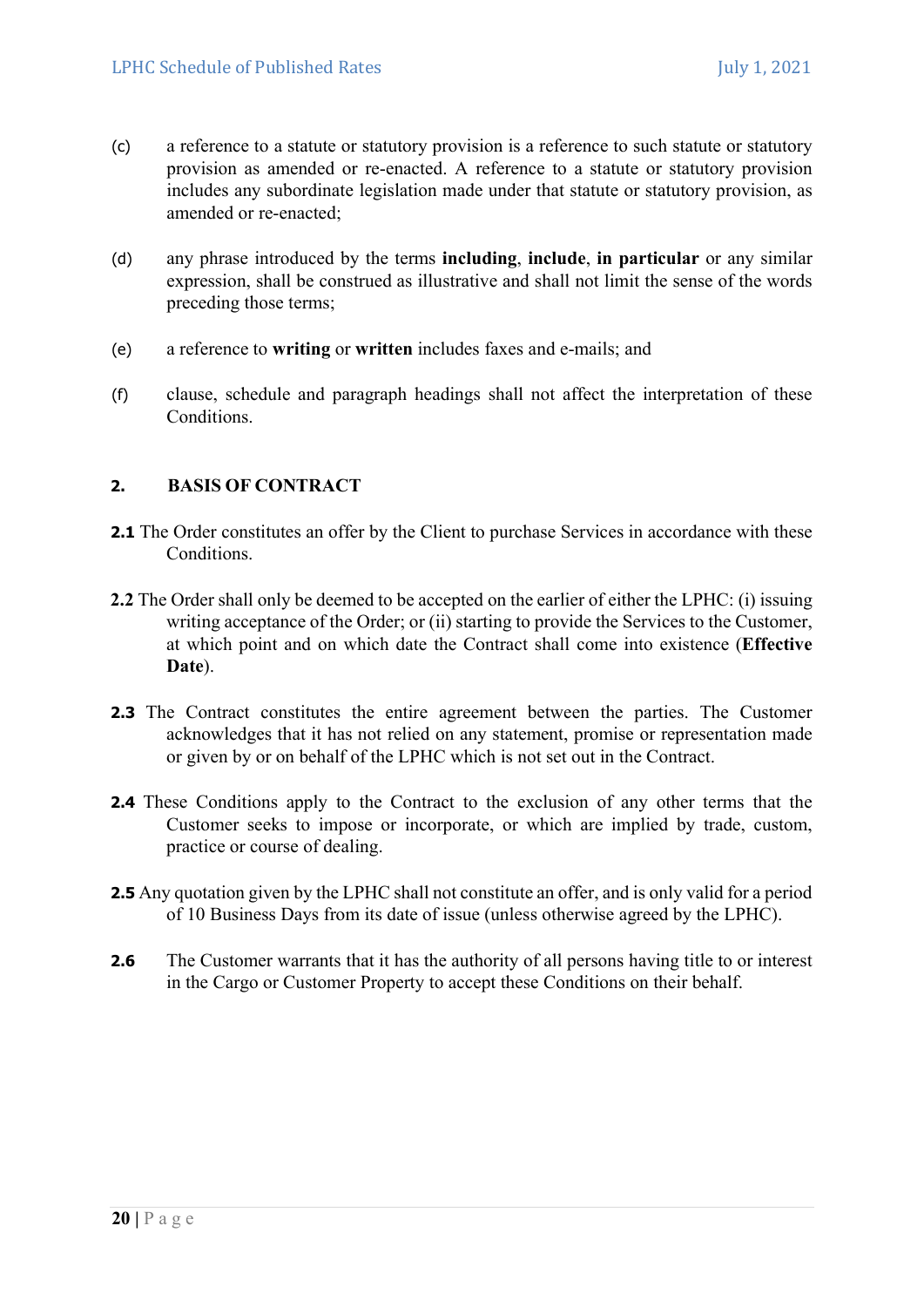- (c) a reference to a statute or statutory provision is a reference to such statute or statutory provision as amended or re-enacted. A reference to a statute or statutory provision includes any subordinate legislation made under that statute or statutory provision, as amended or re-enacted;
- (d) any phrase introduced by the terms including, include, in particular or any similar expression, shall be construed as illustrative and shall not limit the sense of the words preceding those terms;
- (e) a reference to writing or written includes faxes and e-mails; and
- (f) clause, schedule and paragraph headings shall not affect the interpretation of these Conditions.

### 2. BASIS OF CONTRACT

- 2.1 The Order constitutes an offer by the Client to purchase Services in accordance with these Conditions.
- 2.2 The Order shall only be deemed to be accepted on the earlier of either the LPHC: (i) issuing writing acceptance of the Order; or (ii) starting to provide the Services to the Customer, at which point and on which date the Contract shall come into existence (Effective Date).
- 2.3 The Contract constitutes the entire agreement between the parties. The Customer acknowledges that it has not relied on any statement, promise or representation made or given by or on behalf of the LPHC which is not set out in the Contract.
- 2.4 These Conditions apply to the Contract to the exclusion of any other terms that the Customer seeks to impose or incorporate, or which are implied by trade, custom, practice or course of dealing.
- 2.5 Any quotation given by the LPHC shall not constitute an offer, and is only valid for a period of 10 Business Days from its date of issue (unless otherwise agreed by the LPHC).
- 2.6 The Customer warrants that it has the authority of all persons having title to or interest in the Cargo or Customer Property to accept these Conditions on their behalf.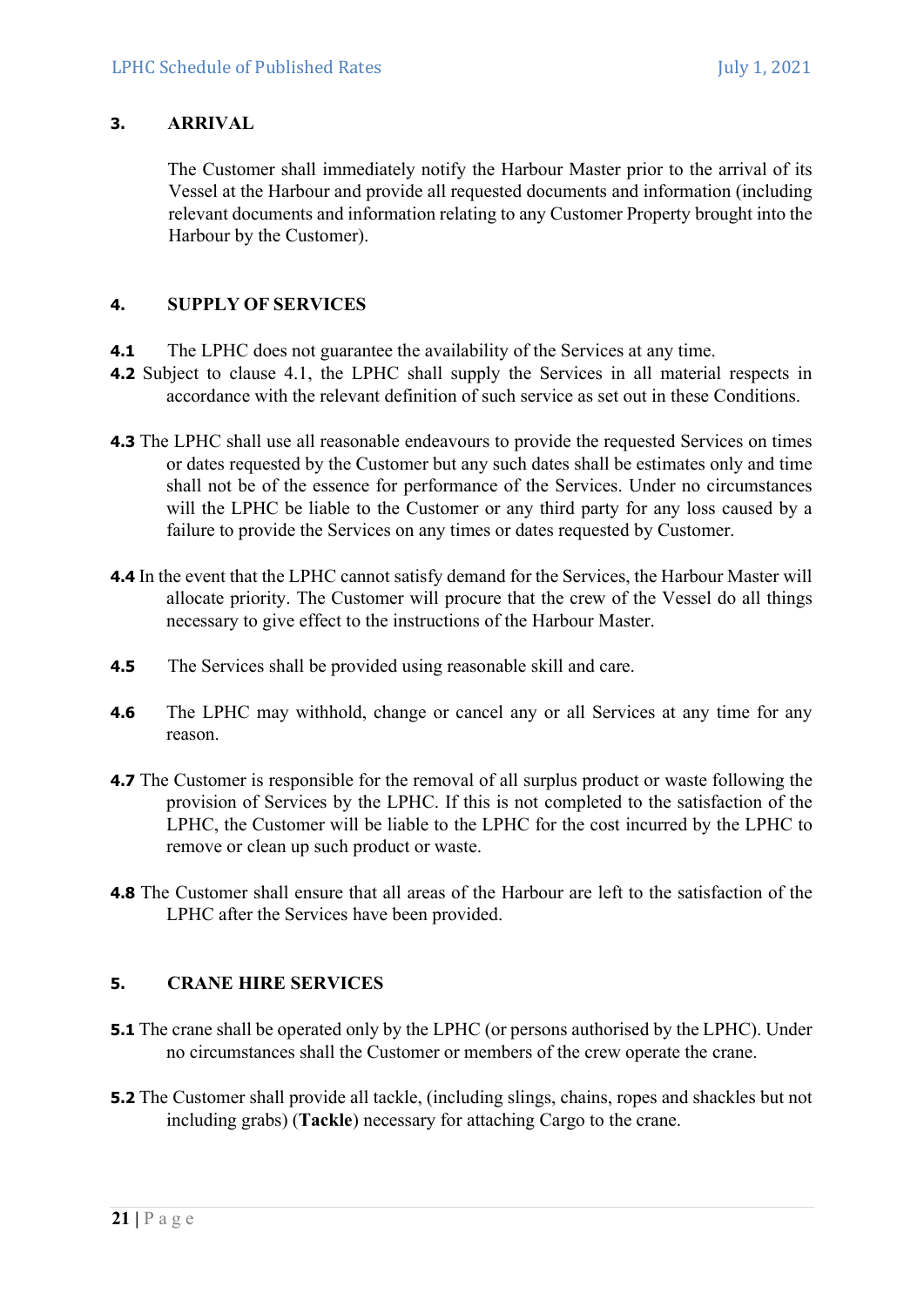# 3. ARRIVAL

The Customer shall immediately notify the Harbour Master prior to the arrival of its Vessel at the Harbour and provide all requested documents and information (including relevant documents and information relating to any Customer Property brought into the Harbour by the Customer).

# 4. SUPPLY OF SERVICES

- 4.1 The LPHC does not guarantee the availability of the Services at any time.
- 4.2 Subject to clause 4.1, the LPHC shall supply the Services in all material respects in accordance with the relevant definition of such service as set out in these Conditions.
- 4.3 The LPHC shall use all reasonable endeavours to provide the requested Services on times or dates requested by the Customer but any such dates shall be estimates only and time shall not be of the essence for performance of the Services. Under no circumstances will the LPHC be liable to the Customer or any third party for any loss caused by a failure to provide the Services on any times or dates requested by Customer.
- 4.4 In the event that the LPHC cannot satisfy demand for the Services, the Harbour Master will allocate priority. The Customer will procure that the crew of the Vessel do all things necessary to give effect to the instructions of the Harbour Master.
- **4.5** The Services shall be provided using reasonable skill and care.
- 4.6 The LPHC may withhold, change or cancel any or all Services at any time for any reason.
- 4.7 The Customer is responsible for the removal of all surplus product or waste following the provision of Services by the LPHC. If this is not completed to the satisfaction of the LPHC, the Customer will be liable to the LPHC for the cost incurred by the LPHC to remove or clean up such product or waste.
- 4.8 The Customer shall ensure that all areas of the Harbour are left to the satisfaction of the LPHC after the Services have been provided.

# 5. CRANE HIRE SERVICES

- **5.1** The crane shall be operated only by the LPHC (or persons authorised by the LPHC). Under no circumstances shall the Customer or members of the crew operate the crane.
- 5.2 The Customer shall provide all tackle, (including slings, chains, ropes and shackles but not including grabs) (Tackle) necessary for attaching Cargo to the crane.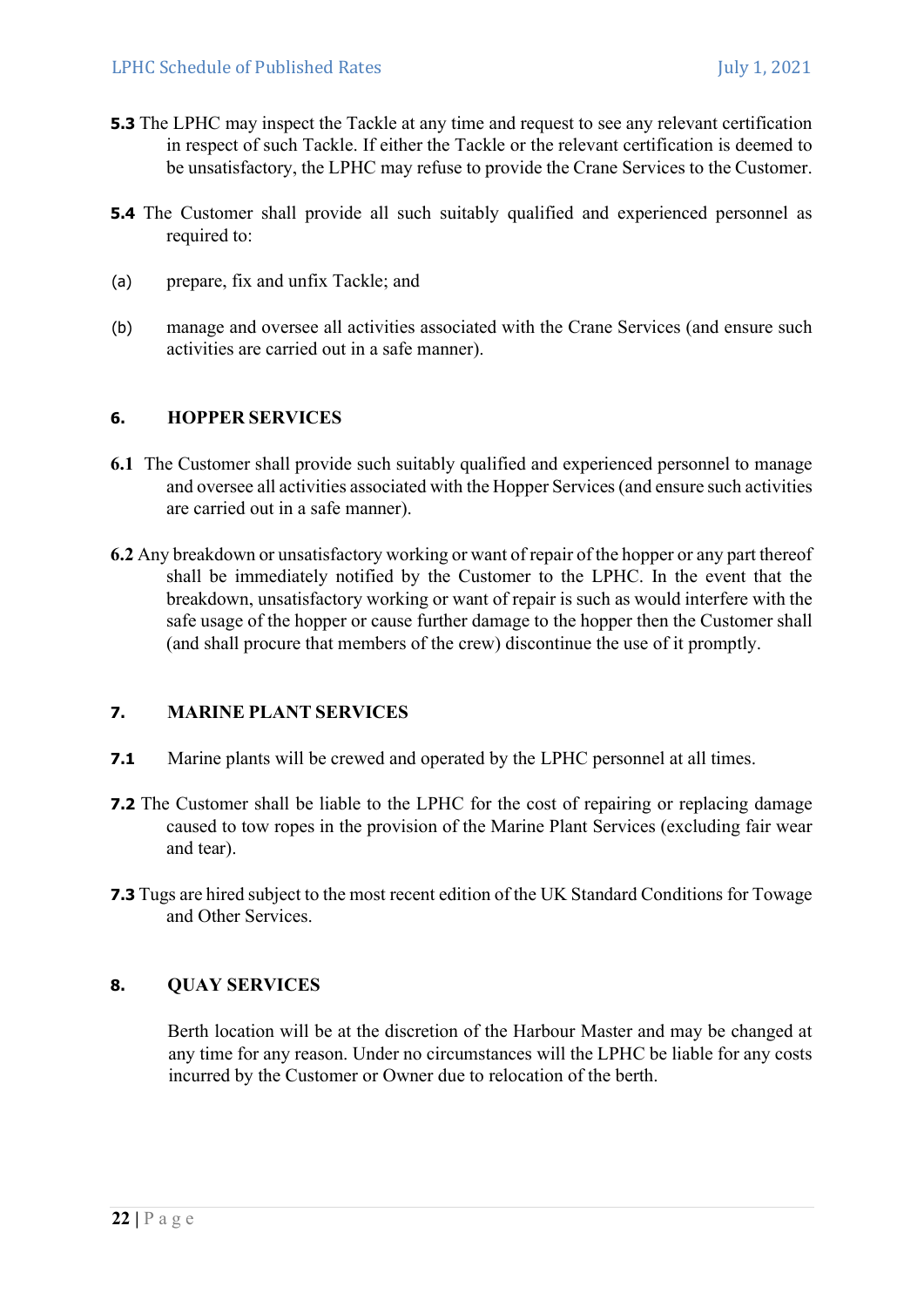- **5.3** The LPHC may inspect the Tackle at any time and request to see any relevant certification in respect of such Tackle. If either the Tackle or the relevant certification is deemed to be unsatisfactory, the LPHC may refuse to provide the Crane Services to the Customer.
- 5.4 The Customer shall provide all such suitably qualified and experienced personnel as required to:
- (a) prepare, fix and unfix Tackle; and
- (b) manage and oversee all activities associated with the Crane Services (and ensure such activities are carried out in a safe manner).

### 6. HOPPER SERVICES

- 6.1 The Customer shall provide such suitably qualified and experienced personnel to manage and oversee all activities associated with the Hopper Services (and ensure such activities are carried out in a safe manner).
- 6.2 Any breakdown or unsatisfactory working or want of repair of the hopper or any part thereof shall be immediately notified by the Customer to the LPHC. In the event that the breakdown, unsatisfactory working or want of repair is such as would interfere with the safe usage of the hopper or cause further damage to the hopper then the Customer shall (and shall procure that members of the crew) discontinue the use of it promptly.

### 7. MARINE PLANT SERVICES

- 7.1 Marine plants will be crewed and operated by the LPHC personnel at all times.
- 7.2 The Customer shall be liable to the LPHC for the cost of repairing or replacing damage caused to tow ropes in the provision of the Marine Plant Services (excluding fair wear and tear).
- 7.3 Tugs are hired subject to the most recent edition of the UK Standard Conditions for Towage and Other Services.

# 8. QUAY SERVICES

Berth location will be at the discretion of the Harbour Master and may be changed at any time for any reason. Under no circumstances will the LPHC be liable for any costs incurred by the Customer or Owner due to relocation of the berth.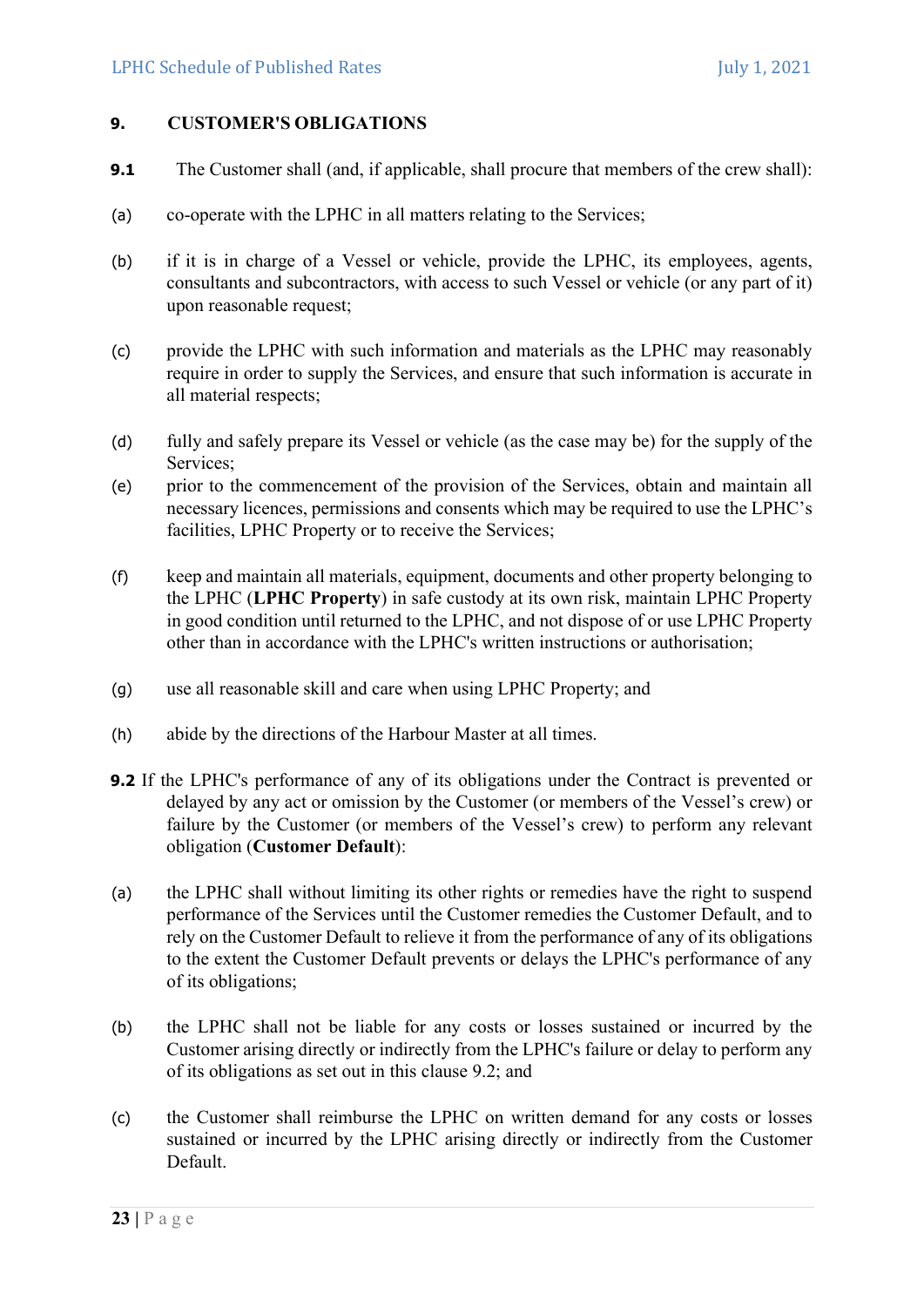### 9. CUSTOMER'S OBLIGATIONS

- 9.1 The Customer shall (and, if applicable, shall procure that members of the crew shall):
- (a) co-operate with the LPHC in all matters relating to the Services;
- (b) if it is in charge of a Vessel or vehicle, provide the LPHC, its employees, agents, consultants and subcontractors, with access to such Vessel or vehicle (or any part of it) upon reasonable request;
- (c) provide the LPHC with such information and materials as the LPHC may reasonably require in order to supply the Services, and ensure that such information is accurate in all material respects;
- (d) fully and safely prepare its Vessel or vehicle (as the case may be) for the supply of the Services;
- (e) prior to the commencement of the provision of the Services, obtain and maintain all necessary licences, permissions and consents which may be required to use the LPHC's facilities, LPHC Property or to receive the Services;
- (f) keep and maintain all materials, equipment, documents and other property belonging to the LPHC (LPHC Property) in safe custody at its own risk, maintain LPHC Property in good condition until returned to the LPHC, and not dispose of or use LPHC Property other than in accordance with the LPHC's written instructions or authorisation;
- (g) use all reasonable skill and care when using LPHC Property; and
- (h) abide by the directions of the Harbour Master at all times.
- 9.2 If the LPHC's performance of any of its obligations under the Contract is prevented or delayed by any act or omission by the Customer (or members of the Vessel's crew) or failure by the Customer (or members of the Vessel's crew) to perform any relevant obligation (Customer Default):
- (a) the LPHC shall without limiting its other rights or remedies have the right to suspend performance of the Services until the Customer remedies the Customer Default, and to rely on the Customer Default to relieve it from the performance of any of its obligations to the extent the Customer Default prevents or delays the LPHC's performance of any of its obligations;
- (b) the LPHC shall not be liable for any costs or losses sustained or incurred by the Customer arising directly or indirectly from the LPHC's failure or delay to perform any of its obligations as set out in this clause 9.2; and
- (c) the Customer shall reimburse the LPHC on written demand for any costs or losses sustained or incurred by the LPHC arising directly or indirectly from the Customer Default.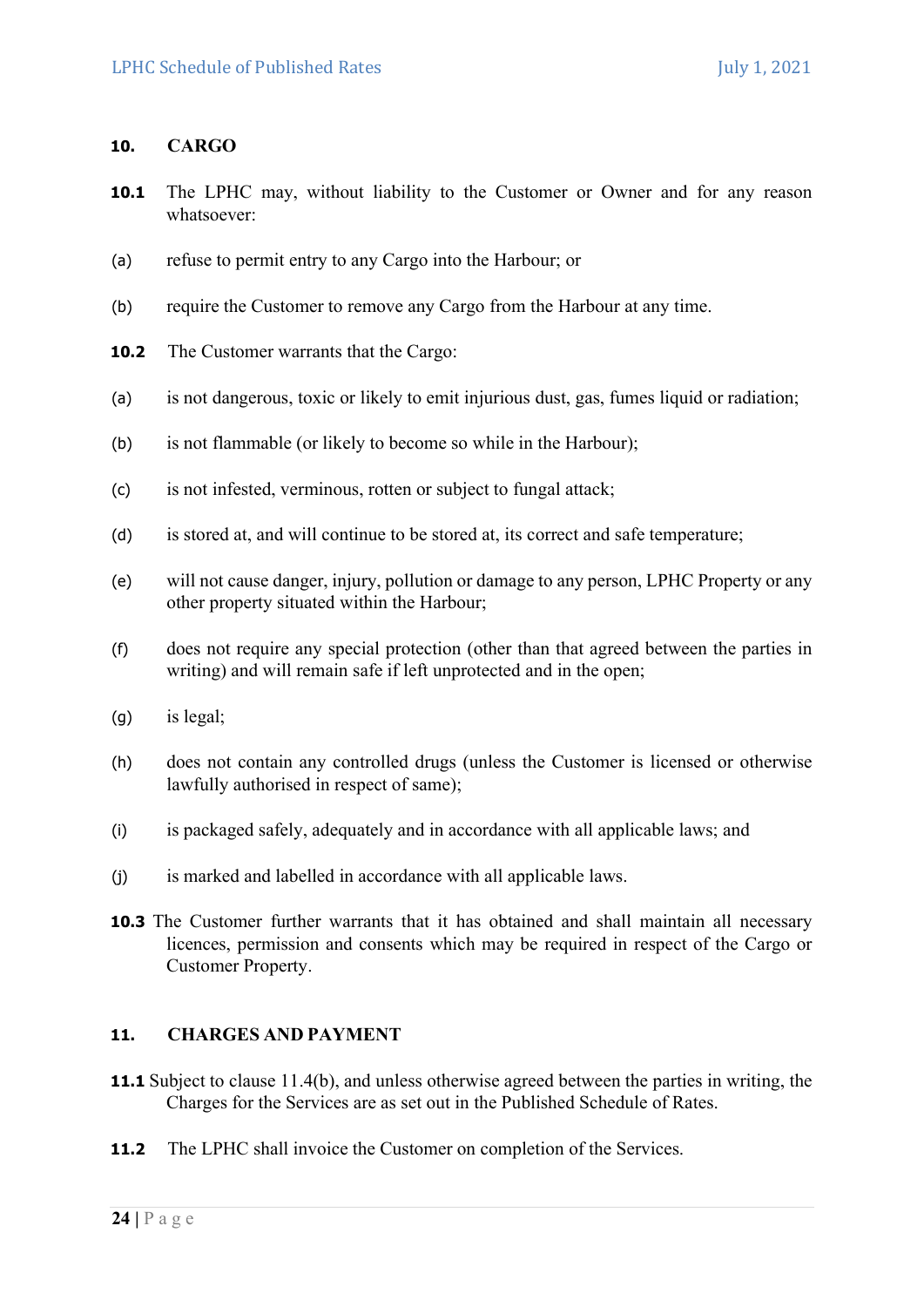# 10. CARGO

- **10.1** The LPHC may, without liability to the Customer or Owner and for any reason whatsoever:
- (a) refuse to permit entry to any Cargo into the Harbour; or
- (b) require the Customer to remove any Cargo from the Harbour at any time.
- 10.2 The Customer warrants that the Cargo:
- (a) is not dangerous, toxic or likely to emit injurious dust, gas, fumes liquid or radiation;
- (b) is not flammable (or likely to become so while in the Harbour);
- (c) is not infested, verminous, rotten or subject to fungal attack;
- (d) is stored at, and will continue to be stored at, its correct and safe temperature;
- (e) will not cause danger, injury, pollution or damage to any person, LPHC Property or any other property situated within the Harbour;
- (f) does not require any special protection (other than that agreed between the parties in writing) and will remain safe if left unprotected and in the open;
- (g) is legal;
- (h) does not contain any controlled drugs (unless the Customer is licensed or otherwise lawfully authorised in respect of same);
- (i) is packaged safely, adequately and in accordance with all applicable laws; and
- (j) is marked and labelled in accordance with all applicable laws.
- **10.3** The Customer further warrants that it has obtained and shall maintain all necessary licences, permission and consents which may be required in respect of the Cargo or Customer Property.

### 11. CHARGES AND PAYMENT

- 11.1 Subject to clause 11.4(b), and unless otherwise agreed between the parties in writing, the Charges for the Services are as set out in the Published Schedule of Rates.
- 11.2 The LPHC shall invoice the Customer on completion of the Services.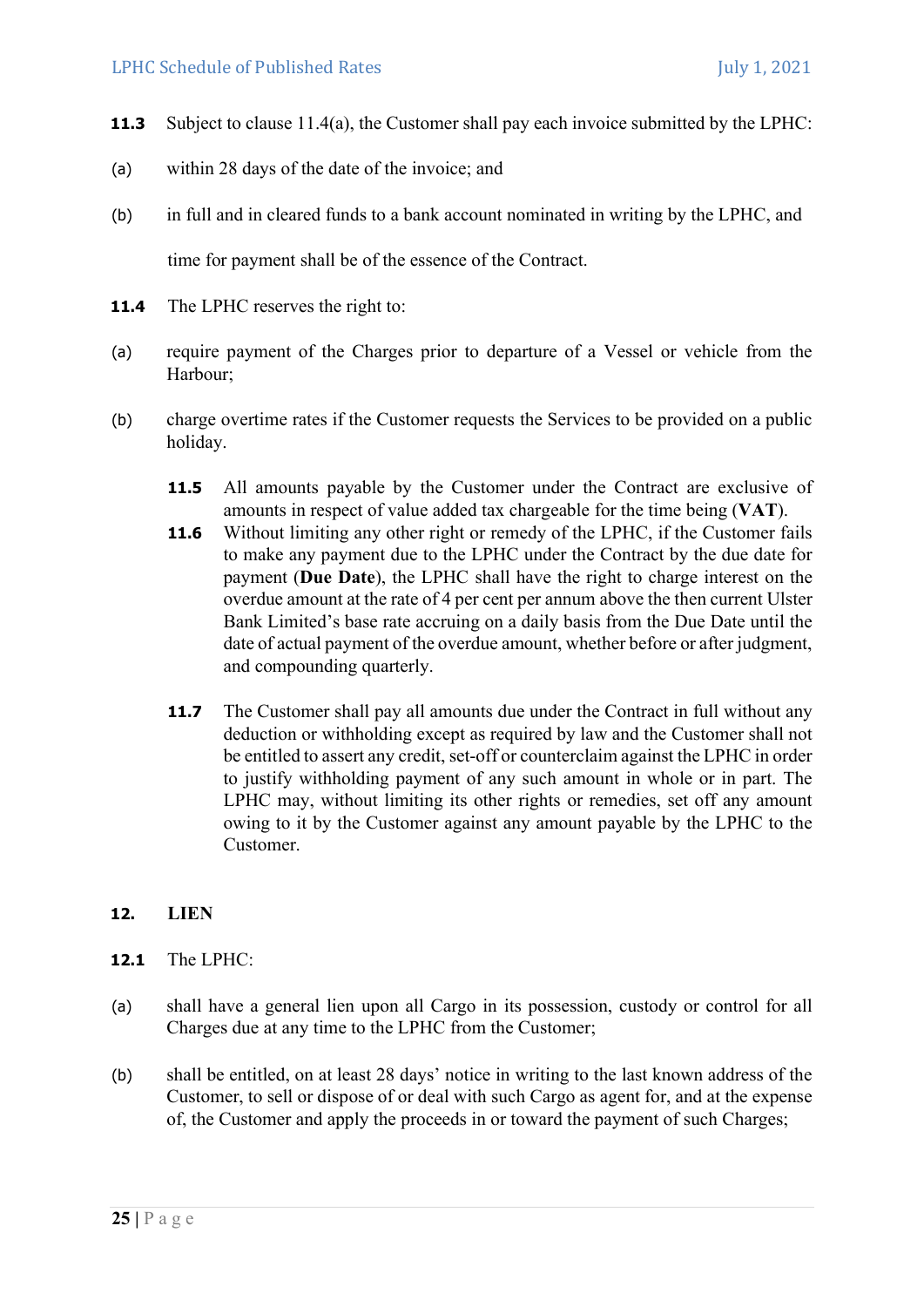- 11.3 Subject to clause 11.4(a), the Customer shall pay each invoice submitted by the LPHC:
- (a) within 28 days of the date of the invoice; and
- (b) in full and in cleared funds to a bank account nominated in writing by the LPHC, and time for payment shall be of the essence of the Contract.
- 11.4 The LPHC reserves the right to:
- (a) require payment of the Charges prior to departure of a Vessel or vehicle from the Harbour;
- (b) charge overtime rates if the Customer requests the Services to be provided on a public holiday.
	- 11.5 All amounts payable by the Customer under the Contract are exclusive of amounts in respect of value added tax chargeable for the time being (VAT).
	- 11.6 Without limiting any other right or remedy of the LPHC, if the Customer fails to make any payment due to the LPHC under the Contract by the due date for payment (Due Date), the LPHC shall have the right to charge interest on the overdue amount at the rate of 4 per cent per annum above the then current Ulster Bank Limited's base rate accruing on a daily basis from the Due Date until the date of actual payment of the overdue amount, whether before or after judgment, and compounding quarterly.
	- 11.7 The Customer shall pay all amounts due under the Contract in full without any deduction or withholding except as required by law and the Customer shall not be entitled to assert any credit, set-off or counterclaim against the LPHC in order to justify withholding payment of any such amount in whole or in part. The LPHC may, without limiting its other rights or remedies, set off any amount owing to it by the Customer against any amount payable by the LPHC to the Customer.

# 12. LIEN

- 12.1 The LPHC:
- (a) shall have a general lien upon all Cargo in its possession, custody or control for all Charges due at any time to the LPHC from the Customer;
- (b) shall be entitled, on at least 28 days' notice in writing to the last known address of the Customer, to sell or dispose of or deal with such Cargo as agent for, and at the expense of, the Customer and apply the proceeds in or toward the payment of such Charges;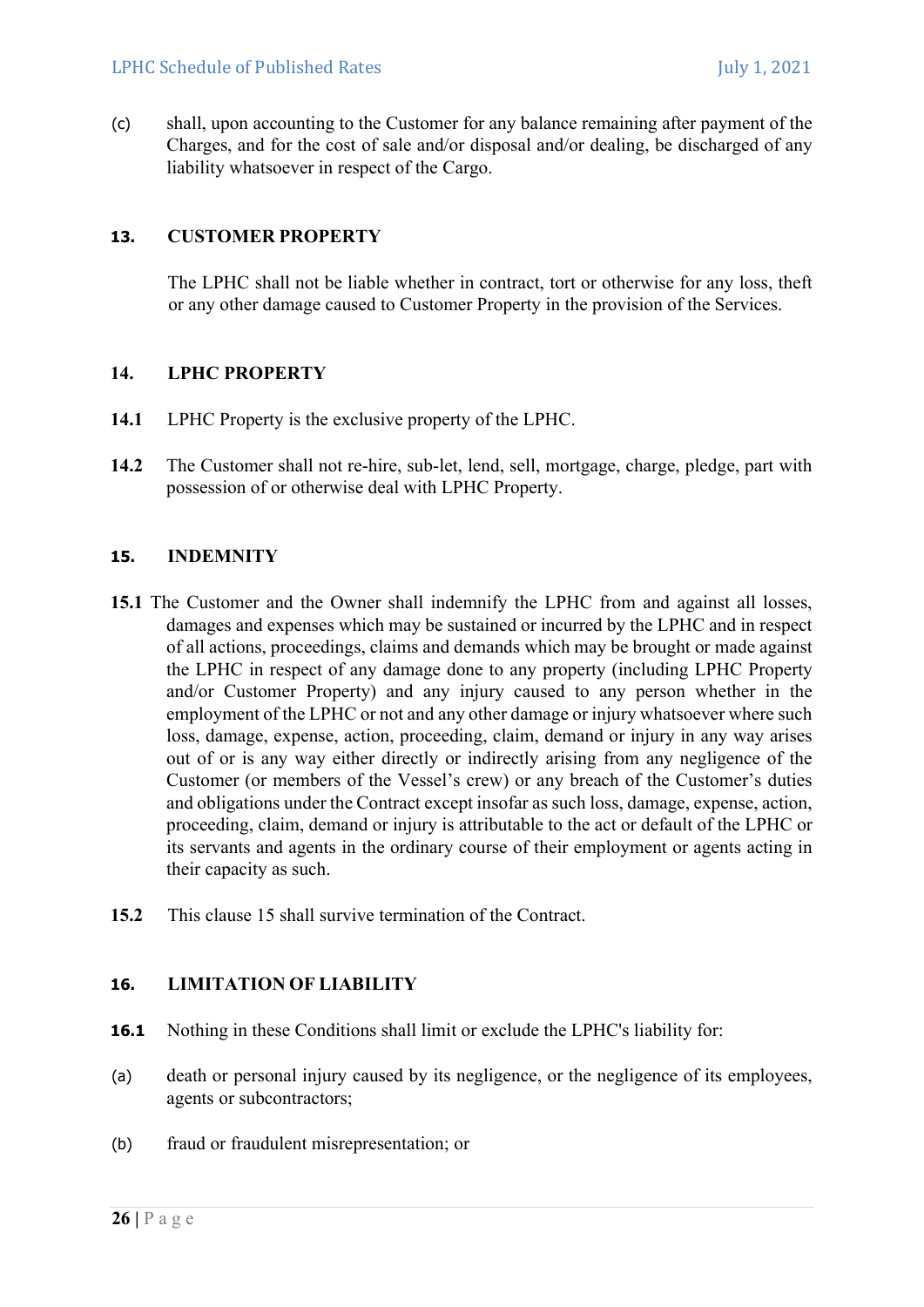(c) shall, upon accounting to the Customer for any balance remaining after payment of the Charges, and for the cost of sale and/or disposal and/or dealing, be discharged of any liability whatsoever in respect of the Cargo.

# 13. CUSTOMER PROPERTY

The LPHC shall not be liable whether in contract, tort or otherwise for any loss, theft or any other damage caused to Customer Property in the provision of the Services.

# 14. LPHC PROPERTY

- 14.1 LPHC Property is the exclusive property of the LPHC.
- 14.2 The Customer shall not re-hire, sub-let, lend, sell, mortgage, charge, pledge, part with possession of or otherwise deal with LPHC Property.

### 15. INDEMNITY

- 15.1 The Customer and the Owner shall indemnify the LPHC from and against all losses, damages and expenses which may be sustained or incurred by the LPHC and in respect of all actions, proceedings, claims and demands which may be brought or made against the LPHC in respect of any damage done to any property (including LPHC Property and/or Customer Property) and any injury caused to any person whether in the employment of the LPHC or not and any other damage or injury whatsoever where such loss, damage, expense, action, proceeding, claim, demand or injury in any way arises out of or is any way either directly or indirectly arising from any negligence of the Customer (or members of the Vessel's crew) or any breach of the Customer's duties and obligations under the Contract except insofar as such loss, damage, expense, action, proceeding, claim, demand or injury is attributable to the act or default of the LPHC or its servants and agents in the ordinary course of their employment or agents acting in their capacity as such.
- 15.2 This clause 15 shall survive termination of the Contract.

# 16. LIMITATION OF LIABILITY

- 16.1 Nothing in these Conditions shall limit or exclude the LPHC's liability for:
- (a) death or personal injury caused by its negligence, or the negligence of its employees, agents or subcontractors;
- (b) fraud or fraudulent misrepresentation; or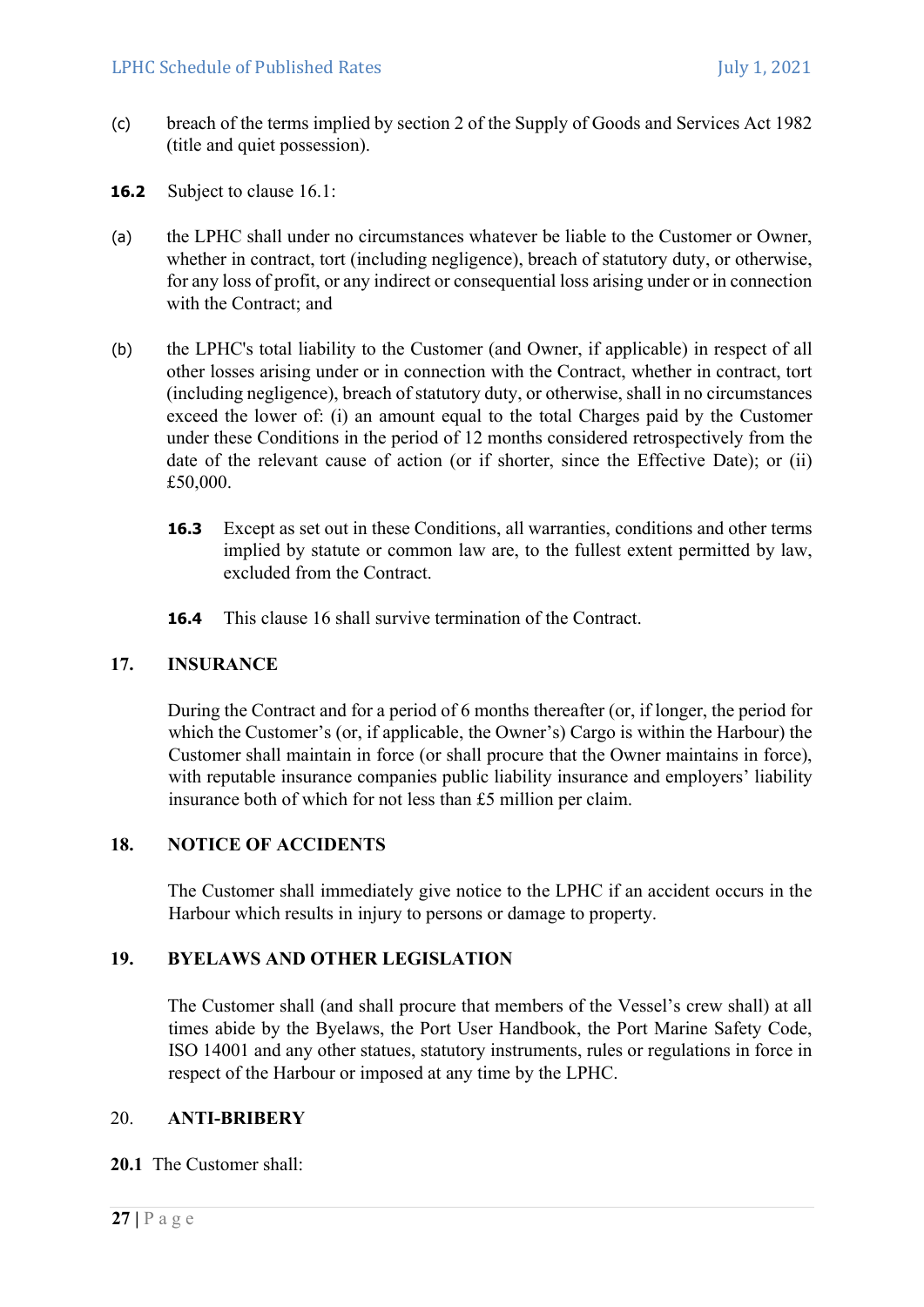- (c) breach of the terms implied by section 2 of the Supply of Goods and Services Act 1982 (title and quiet possession).
- 16.2 Subject to clause 16.1:
- (a) the LPHC shall under no circumstances whatever be liable to the Customer or Owner, whether in contract, tort (including negligence), breach of statutory duty, or otherwise, for any loss of profit, or any indirect or consequential loss arising under or in connection with the Contract; and
- (b) the LPHC's total liability to the Customer (and Owner, if applicable) in respect of all other losses arising under or in connection with the Contract, whether in contract, tort (including negligence), breach of statutory duty, or otherwise, shall in no circumstances exceed the lower of: (i) an amount equal to the total Charges paid by the Customer under these Conditions in the period of 12 months considered retrospectively from the date of the relevant cause of action (or if shorter, since the Effective Date); or (ii) £50,000.
	- 16.3 Except as set out in these Conditions, all warranties, conditions and other terms implied by statute or common law are, to the fullest extent permitted by law, excluded from the Contract.
	- 16.4 This clause 16 shall survive termination of the Contract.

### 17. INSURANCE

During the Contract and for a period of 6 months thereafter (or, if longer, the period for which the Customer's (or, if applicable, the Owner's) Cargo is within the Harbour) the Customer shall maintain in force (or shall procure that the Owner maintains in force), with reputable insurance companies public liability insurance and employers' liability insurance both of which for not less than £5 million per claim.

# 18. NOTICE OF ACCIDENTS

The Customer shall immediately give notice to the LPHC if an accident occurs in the Harbour which results in injury to persons or damage to property.

# 19. BYELAWS AND OTHER LEGISLATION

The Customer shall (and shall procure that members of the Vessel's crew shall) at all times abide by the Byelaws, the Port User Handbook, the Port Marine Safety Code, ISO 14001 and any other statues, statutory instruments, rules or regulations in force in respect of the Harbour or imposed at any time by the LPHC.

### 20. ANTI-BRIBERY

### 20.1 The Customer shall: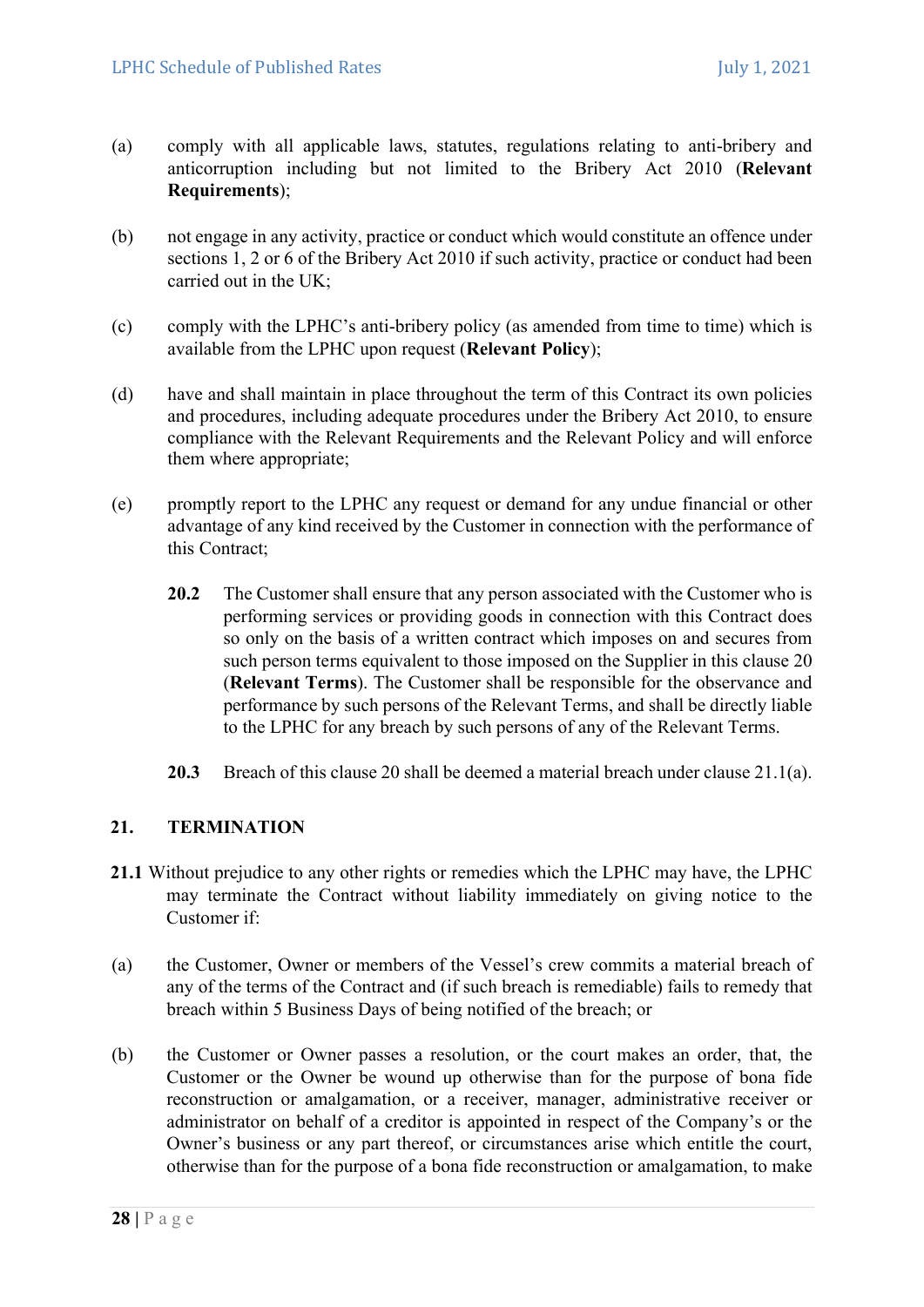- (a) comply with all applicable laws, statutes, regulations relating to anti-bribery and anticorruption including but not limited to the Bribery Act 2010 (Relevant Requirements);
- (b) not engage in any activity, practice or conduct which would constitute an offence under sections 1, 2 or 6 of the Bribery Act 2010 if such activity, practice or conduct had been carried out in the UK;
- (c) comply with the LPHC's anti-bribery policy (as amended from time to time) which is available from the LPHC upon request (Relevant Policy);
- (d) have and shall maintain in place throughout the term of this Contract its own policies and procedures, including adequate procedures under the Bribery Act 2010, to ensure compliance with the Relevant Requirements and the Relevant Policy and will enforce them where appropriate;
- (e) promptly report to the LPHC any request or demand for any undue financial or other advantage of any kind received by the Customer in connection with the performance of this Contract;
	- 20.2 The Customer shall ensure that any person associated with the Customer who is performing services or providing goods in connection with this Contract does so only on the basis of a written contract which imposes on and secures from such person terms equivalent to those imposed on the Supplier in this clause 20 (Relevant Terms). The Customer shall be responsible for the observance and performance by such persons of the Relevant Terms, and shall be directly liable to the LPHC for any breach by such persons of any of the Relevant Terms.
	- 20.3 Breach of this clause 20 shall be deemed a material breach under clause 21.1(a).

# 21. TERMINATION

- 21.1 Without prejudice to any other rights or remedies which the LPHC may have, the LPHC may terminate the Contract without liability immediately on giving notice to the Customer if:
- (a) the Customer, Owner or members of the Vessel's crew commits a material breach of any of the terms of the Contract and (if such breach is remediable) fails to remedy that breach within 5 Business Days of being notified of the breach; or
- (b) the Customer or Owner passes a resolution, or the court makes an order, that, the Customer or the Owner be wound up otherwise than for the purpose of bona fide reconstruction or amalgamation, or a receiver, manager, administrative receiver or administrator on behalf of a creditor is appointed in respect of the Company's or the Owner's business or any part thereof, or circumstances arise which entitle the court, otherwise than for the purpose of a bona fide reconstruction or amalgamation, to make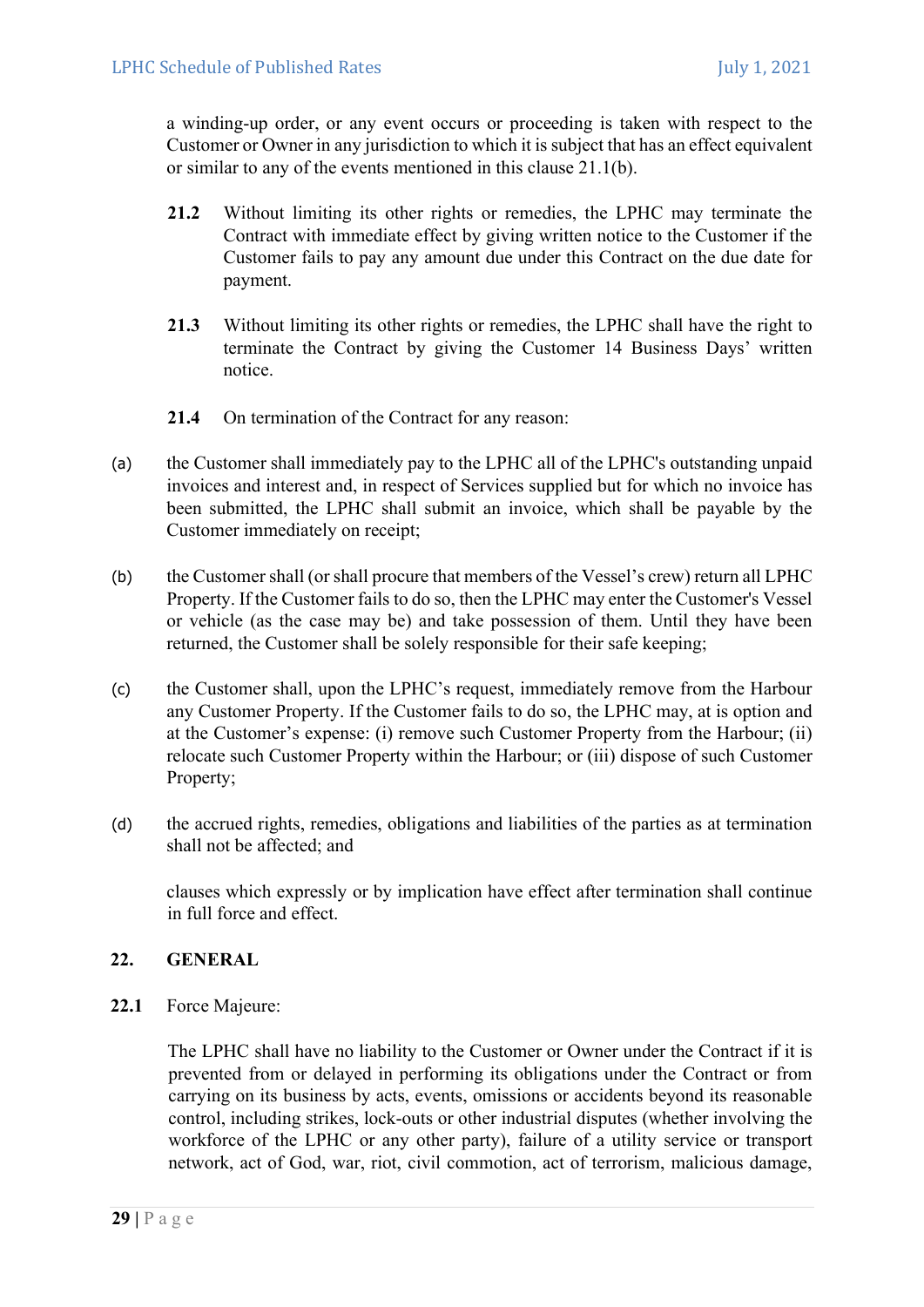a winding-up order, or any event occurs or proceeding is taken with respect to the Customer or Owner in any jurisdiction to which it is subject that has an effect equivalent or similar to any of the events mentioned in this clause 21.1(b).

- 21.2 Without limiting its other rights or remedies, the LPHC may terminate the Contract with immediate effect by giving written notice to the Customer if the Customer fails to pay any amount due under this Contract on the due date for payment.
- 21.3 Without limiting its other rights or remedies, the LPHC shall have the right to terminate the Contract by giving the Customer 14 Business Days' written notice.
- 21.4 On termination of the Contract for any reason:
- (a) the Customer shall immediately pay to the LPHC all of the LPHC's outstanding unpaid invoices and interest and, in respect of Services supplied but for which no invoice has been submitted, the LPHC shall submit an invoice, which shall be payable by the Customer immediately on receipt;
- (b) the Customer shall (or shall procure that members of the Vessel's crew) return all LPHC Property. If the Customer fails to do so, then the LPHC may enter the Customer's Vessel or vehicle (as the case may be) and take possession of them. Until they have been returned, the Customer shall be solely responsible for their safe keeping;
- (c) the Customer shall, upon the LPHC's request, immediately remove from the Harbour any Customer Property. If the Customer fails to do so, the LPHC may, at is option and at the Customer's expense: (i) remove such Customer Property from the Harbour; (ii) relocate such Customer Property within the Harbour; or (iii) dispose of such Customer Property;
- (d) the accrued rights, remedies, obligations and liabilities of the parties as at termination shall not be affected; and

clauses which expressly or by implication have effect after termination shall continue in full force and effect.

# 22. GENERAL

22.1 Force Majeure:

The LPHC shall have no liability to the Customer or Owner under the Contract if it is prevented from or delayed in performing its obligations under the Contract or from carrying on its business by acts, events, omissions or accidents beyond its reasonable control, including strikes, lock-outs or other industrial disputes (whether involving the workforce of the LPHC or any other party), failure of a utility service or transport network, act of God, war, riot, civil commotion, act of terrorism, malicious damage,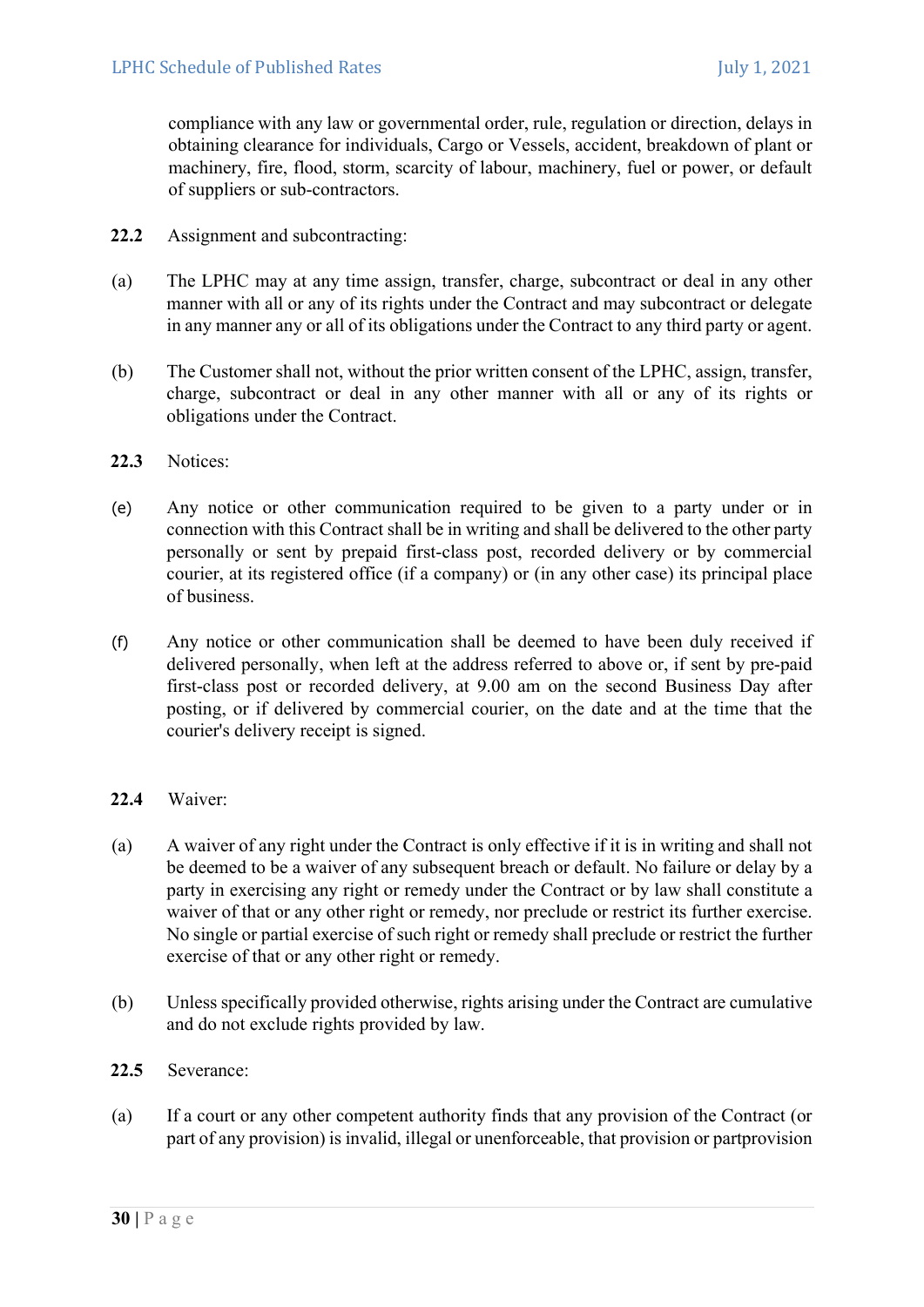compliance with any law or governmental order, rule, regulation or direction, delays in obtaining clearance for individuals, Cargo or Vessels, accident, breakdown of plant or machinery, fire, flood, storm, scarcity of labour, machinery, fuel or power, or default of suppliers or sub-contractors.

- 22.2 Assignment and subcontracting:
- (a) The LPHC may at any time assign, transfer, charge, subcontract or deal in any other manner with all or any of its rights under the Contract and may subcontract or delegate in any manner any or all of its obligations under the Contract to any third party or agent.
- (b) The Customer shall not, without the prior written consent of the LPHC, assign, transfer, charge, subcontract or deal in any other manner with all or any of its rights or obligations under the Contract.
- 22.3 Notices:
- (e) Any notice or other communication required to be given to a party under or in connection with this Contract shall be in writing and shall be delivered to the other party personally or sent by prepaid first-class post, recorded delivery or by commercial courier, at its registered office (if a company) or (in any other case) its principal place of business.
- (f) Any notice or other communication shall be deemed to have been duly received if delivered personally, when left at the address referred to above or, if sent by pre-paid first-class post or recorded delivery, at 9.00 am on the second Business Day after posting, or if delivered by commercial courier, on the date and at the time that the courier's delivery receipt is signed.
- 22.4 Waiver:
- (a) A waiver of any right under the Contract is only effective if it is in writing and shall not be deemed to be a waiver of any subsequent breach or default. No failure or delay by a party in exercising any right or remedy under the Contract or by law shall constitute a waiver of that or any other right or remedy, nor preclude or restrict its further exercise. No single or partial exercise of such right or remedy shall preclude or restrict the further exercise of that or any other right or remedy.
- (b) Unless specifically provided otherwise, rights arising under the Contract are cumulative and do not exclude rights provided by law.
- 22.5 Severance:
- (a) If a court or any other competent authority finds that any provision of the Contract (or part of any provision) is invalid, illegal or unenforceable, that provision or partprovision